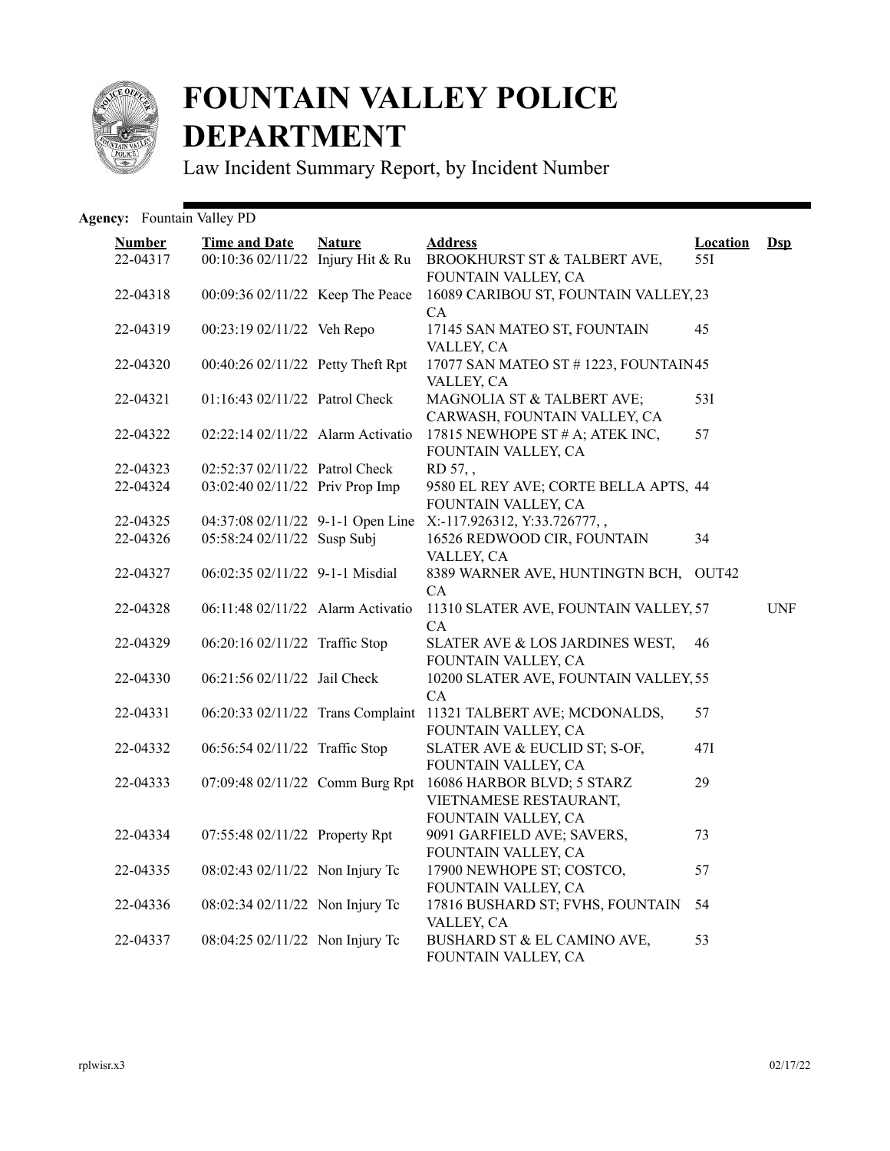

## **FOUNTAIN VALLEY POLICE DEPARTMENT**

Law Incident Summary Report, by Incident Number

Agency: Fountain Valley PD

| <b>Number</b><br>22-04317 | <b>Time and Date</b><br>00:10:36 02/11/22 Injury Hit & Ru | <b>Nature</b> | <b>Address</b><br>BROOKHURST ST & TALBERT AVE,                              | <b>Location</b><br>55I | $\mathbf{Dsp}$ |
|---------------------------|-----------------------------------------------------------|---------------|-----------------------------------------------------------------------------|------------------------|----------------|
| 22-04318                  | 00:09:36 02/11/22 Keep The Peace                          |               | FOUNTAIN VALLEY, CA<br>16089 CARIBOU ST, FOUNTAIN VALLEY, 23                |                        |                |
| 22-04319                  | 00:23:19 02/11/22 Veh Repo                                |               | CA<br>17145 SAN MATEO ST, FOUNTAIN<br>VALLEY, CA                            | 45                     |                |
| 22-04320                  | 00:40:26 02/11/22 Petty Theft Rpt                         |               | 17077 SAN MATEO ST # 1223, FOUNTAIN 45<br>VALLEY, CA                        |                        |                |
| 22-04321                  | 01:16:43 02/11/22 Patrol Check                            |               | MAGNOLIA ST & TALBERT AVE;<br>CARWASH, FOUNTAIN VALLEY, CA                  | 53I                    |                |
| 22-04322                  | 02:22:14 02/11/22 Alarm Activatio                         |               | 17815 NEWHOPE ST # A; ATEK INC,<br>FOUNTAIN VALLEY, CA                      | 57                     |                |
| 22-04323                  | 02:52:37 02/11/22 Patrol Check                            |               | RD 57,,                                                                     |                        |                |
| 22-04324                  | 03:02:40 02/11/22 Priv Prop Imp                           |               | 9580 EL REY AVE; CORTE BELLA APTS, 44<br>FOUNTAIN VALLEY, CA                |                        |                |
| 22-04325                  | 04:37:08 02/11/22 9-1-1 Open Line                         |               | X:-117.926312, Y:33.726777,,                                                |                        |                |
| 22-04326                  | 05:58:24 02/11/22 Susp Subj                               |               | 16526 REDWOOD CIR, FOUNTAIN<br>VALLEY, CA                                   | 34                     |                |
| 22-04327                  | 06:02:35 02/11/22 9-1-1 Misdial                           |               | 8389 WARNER AVE, HUNTINGTN BCH,<br>CA                                       | OUT <sub>42</sub>      |                |
| 22-04328                  | 06:11:48 02/11/22 Alarm Activatio                         |               | 11310 SLATER AVE, FOUNTAIN VALLEY, 57<br>CA                                 |                        | <b>UNF</b>     |
| 22-04329                  | 06:20:16 02/11/22 Traffic Stop                            |               | SLATER AVE & LOS JARDINES WEST,<br>FOUNTAIN VALLEY, CA                      | 46                     |                |
| 22-04330                  | 06:21:56 02/11/22 Jail Check                              |               | 10200 SLATER AVE, FOUNTAIN VALLEY, 55<br>CA                                 |                        |                |
| 22-04331                  | 06:20:33 02/11/22 Trans Complaint                         |               | 11321 TALBERT AVE; MCDONALDS,<br>FOUNTAIN VALLEY, CA                        | 57                     |                |
| 22-04332                  | 06:56:54 02/11/22 Traffic Stop                            |               | SLATER AVE & EUCLID ST; S-OF,<br>FOUNTAIN VALLEY, CA                        | 47I                    |                |
| 22-04333                  | 07:09:48 02/11/22 Comm Burg Rpt                           |               | 16086 HARBOR BLVD; 5 STARZ<br>VIETNAMESE RESTAURANT,<br>FOUNTAIN VALLEY, CA | 29                     |                |
| 22-04334                  | 07:55:48 02/11/22 Property Rpt                            |               | 9091 GARFIELD AVE; SAVERS,<br>FOUNTAIN VALLEY, CA                           | 73                     |                |
| 22-04335                  | 08:02:43 02/11/22 Non Injury Tc                           |               | 17900 NEWHOPE ST; COSTCO,<br>FOUNTAIN VALLEY, CA                            | 57                     |                |
| 22-04336                  | 08:02:34 02/11/22 Non Injury Tc                           |               | 17816 BUSHARD ST; FVHS, FOUNTAIN<br>VALLEY, CA                              | 54                     |                |
| 22-04337                  | 08:04:25 02/11/22 Non Injury Tc                           |               | BUSHARD ST & EL CAMINO AVE,<br>FOUNTAIN VALLEY, CA                          | 53                     |                |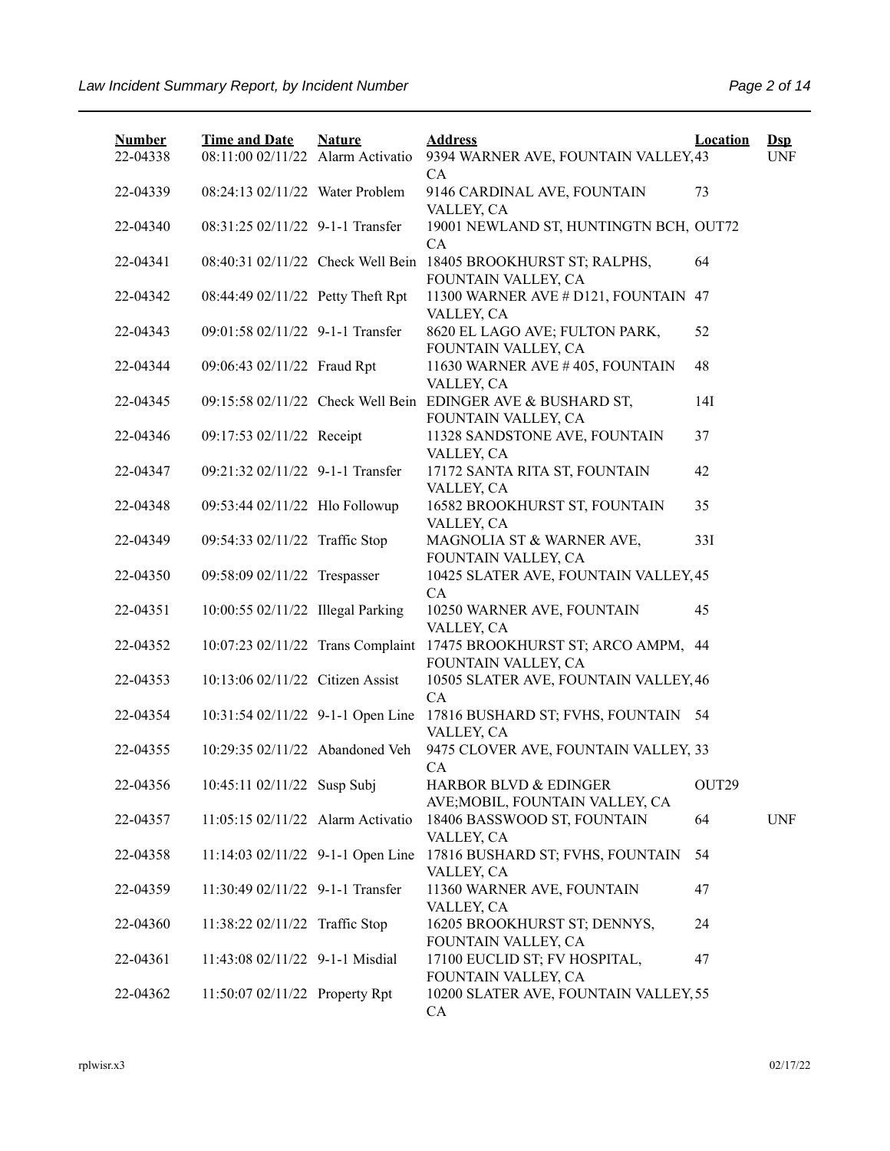| <b>Number</b> | <b>Time and Date</b>              | <b>Nature</b> | <b>Address</b>                                                                     | <b>Location</b> | $\mathbf{Dsp}$ |
|---------------|-----------------------------------|---------------|------------------------------------------------------------------------------------|-----------------|----------------|
| 22-04338      | 08:11:00 02/11/22 Alarm Activatio |               | 9394 WARNER AVE, FOUNTAIN VALLEY, 43<br>CA                                         |                 | <b>UNF</b>     |
| 22-04339      | 08:24:13 02/11/22 Water Problem   |               | 9146 CARDINAL AVE, FOUNTAIN<br>VALLEY, CA                                          | 73              |                |
| 22-04340      | 08:31:25 02/11/22 9-1-1 Transfer  |               | 19001 NEWLAND ST, HUNTINGTN BCH, OUT72                                             |                 |                |
| 22-04341      |                                   |               | CA<br>08:40:31 02/11/22 Check Well Bein 18405 BROOKHURST ST; RALPHS,               | 64              |                |
| 22-04342      | 08:44:49 02/11/22 Petty Theft Rpt |               | FOUNTAIN VALLEY, CA<br>11300 WARNER AVE # D121, FOUNTAIN 47                        |                 |                |
| 22-04343      | 09:01:58 02/11/22 9-1-1 Transfer  |               | VALLEY, CA<br>8620 EL LAGO AVE; FULTON PARK,                                       | 52              |                |
| 22-04344      | 09:06:43 02/11/22 Fraud Rpt       |               | FOUNTAIN VALLEY, CA<br>11630 WARNER AVE #405, FOUNTAIN                             | 48              |                |
| 22-04345      |                                   |               | VALLEY, CA<br>09:15:58 02/11/22 Check Well Bein EDINGER AVE & BUSHARD ST,          | 14I             |                |
| 22-04346      | 09:17:53 02/11/22 Receipt         |               | FOUNTAIN VALLEY, CA<br>11328 SANDSTONE AVE, FOUNTAIN                               | 37              |                |
| 22-04347      | 09:21:32 02/11/22 9-1-1 Transfer  |               | VALLEY, CA<br>17172 SANTA RITA ST, FOUNTAIN                                        | 42              |                |
| 22-04348      | 09:53:44 02/11/22 Hlo Followup    |               | VALLEY, CA<br>16582 BROOKHURST ST, FOUNTAIN                                        | 35              |                |
| 22-04349      | 09:54:33 02/11/22 Traffic Stop    |               | VALLEY, CA<br>MAGNOLIA ST & WARNER AVE,                                            | 33I             |                |
| 22-04350      | 09:58:09 02/11/22 Trespasser      |               | FOUNTAIN VALLEY, CA<br>10425 SLATER AVE, FOUNTAIN VALLEY, 45                       |                 |                |
| 22-04351      | 10:00:55 02/11/22 Illegal Parking |               | CA<br>10250 WARNER AVE, FOUNTAIN                                                   | 45              |                |
| 22-04352      |                                   |               | VALLEY, CA<br>10:07:23 02/11/22 Trans Complaint 17475 BROOKHURST ST; ARCO AMPM, 44 |                 |                |
| 22-04353      | 10:13:06 02/11/22 Citizen Assist  |               | FOUNTAIN VALLEY, CA<br>10505 SLATER AVE, FOUNTAIN VALLEY, 46                       |                 |                |
| 22-04354      | 10:31:54 02/11/22 9-1-1 Open Line |               | CA<br>17816 BUSHARD ST; FVHS, FOUNTAIN 54                                          |                 |                |
| 22-04355      | 10:29:35 02/11/22 Abandoned Veh   |               | VALLEY, CA<br>9475 CLOVER AVE, FOUNTAIN VALLEY, 33                                 |                 |                |
| 22-04356      | 10:45:11 02/11/22 Susp Subj       |               | CA<br>HARBOR BLVD & EDINGER                                                        | OUT29           |                |
| 22-04357      | 11:05:15 02/11/22 Alarm Activatio |               | AVE; MOBIL, FOUNTAIN VALLEY, CA<br>18406 BASSWOOD ST, FOUNTAIN                     | 64              | <b>UNF</b>     |
| 22-04358      | 11:14:03 02/11/22 9-1-1 Open Line |               | VALLEY, CA<br>17816 BUSHARD ST; FVHS, FOUNTAIN                                     | 54              |                |
| 22-04359      | 11:30:49 02/11/22 9-1-1 Transfer  |               | VALLEY, CA<br>11360 WARNER AVE, FOUNTAIN                                           | 47              |                |
| 22-04360      | 11:38:22 02/11/22 Traffic Stop    |               | VALLEY, CA<br>16205 BROOKHURST ST; DENNYS,                                         | 24              |                |
| 22-04361      | 11:43:08 02/11/22 9-1-1 Misdial   |               | FOUNTAIN VALLEY, CA<br>17100 EUCLID ST; FV HOSPITAL,                               | 47              |                |
| 22-04362      | 11:50:07 02/11/22 Property Rpt    |               | FOUNTAIN VALLEY, CA<br>10200 SLATER AVE, FOUNTAIN VALLEY, 55<br>CA                 |                 |                |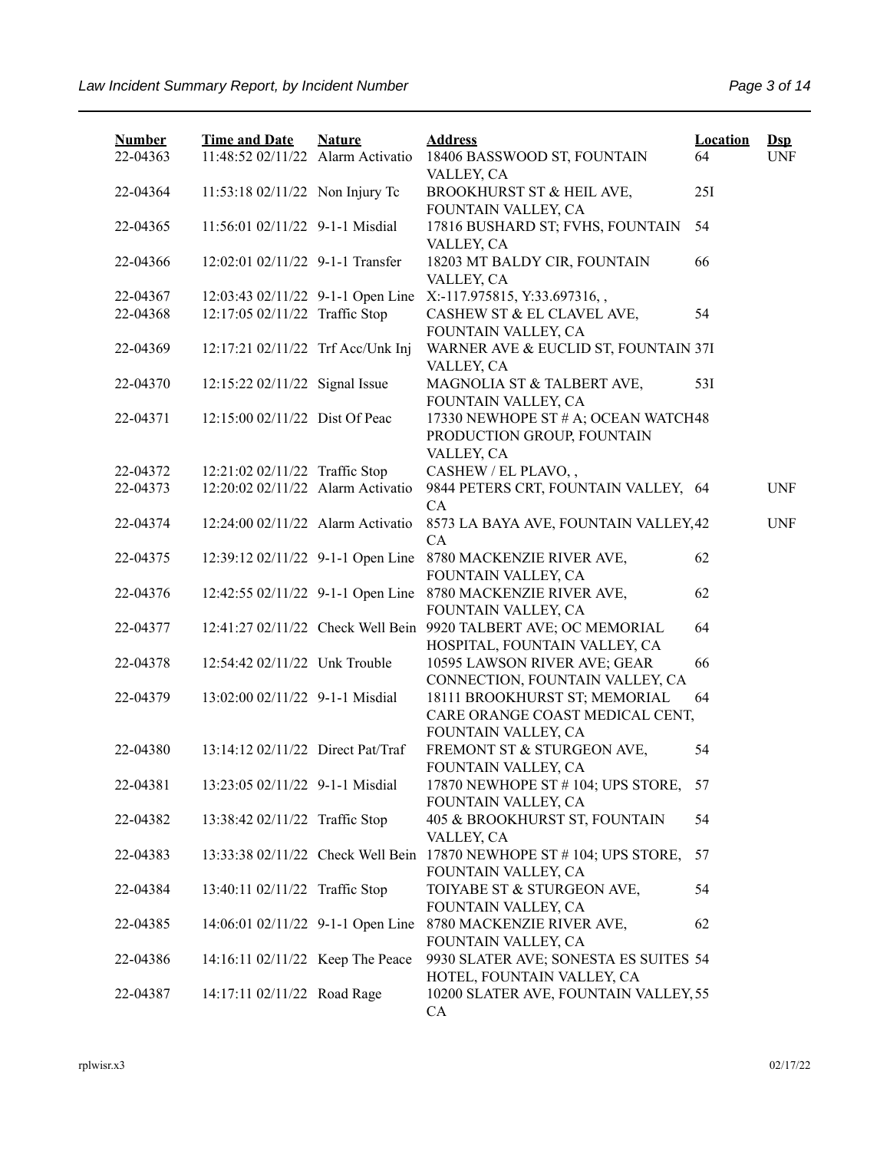| <b>Number</b> | <b>Time and Date</b>              | <b>Nature</b> | <b>Address</b>                                                                  | <b>Location</b> | $\mathbf{Dsp}$ |
|---------------|-----------------------------------|---------------|---------------------------------------------------------------------------------|-----------------|----------------|
| 22-04363      | 11:48:52 02/11/22 Alarm Activatio |               | 18406 BASSWOOD ST, FOUNTAIN<br>VALLEY, CA                                       | 64              | <b>UNF</b>     |
| 22-04364      | 11:53:18 02/11/22 Non Injury Tc   |               | BROOKHURST ST & HEIL AVE,<br>FOUNTAIN VALLEY, CA                                | 25I             |                |
| 22-04365      | 11:56:01 02/11/22 9-1-1 Misdial   |               | 17816 BUSHARD ST; FVHS, FOUNTAIN<br>VALLEY, CA                                  | 54              |                |
| 22-04366      | 12:02:01 02/11/22 9-1-1 Transfer  |               | 18203 MT BALDY CIR, FOUNTAIN<br>VALLEY, CA                                      | 66              |                |
| 22-04367      | 12:03:43 02/11/22 9-1-1 Open Line |               | X:-117.975815, Y:33.697316,,                                                    |                 |                |
| 22-04368      | 12:17:05 02/11/22 Traffic Stop    |               | CASHEW ST & EL CLAVEL AVE,                                                      | 54              |                |
|               |                                   |               | FOUNTAIN VALLEY, CA                                                             |                 |                |
| 22-04369      | 12:17:21 02/11/22 Trf Acc/Unk Inj |               | WARNER AVE & EUCLID ST, FOUNTAIN 37I<br>VALLEY, CA                              |                 |                |
| 22-04370      | 12:15:22 02/11/22 Signal Issue    |               | MAGNOLIA ST & TALBERT AVE,<br>FOUNTAIN VALLEY, CA                               | 53I             |                |
| 22-04371      | 12:15:00 02/11/22 Dist Of Peac    |               | 17330 NEWHOPE ST # A; OCEAN WATCH48<br>PRODUCTION GROUP, FOUNTAIN<br>VALLEY, CA |                 |                |
| 22-04372      | 12:21:02 02/11/22 Traffic Stop    |               | CASHEW / EL PLAVO,,                                                             |                 |                |
| 22-04373      | 12:20:02 02/11/22 Alarm Activatio |               | 9844 PETERS CRT, FOUNTAIN VALLEY, 64<br>CA                                      |                 | <b>UNF</b>     |
| 22-04374      | 12:24:00 02/11/22 Alarm Activatio |               | 8573 LA BAYA AVE, FOUNTAIN VALLEY, 42<br><b>CA</b>                              |                 | <b>UNF</b>     |
| 22-04375      | 12:39:12 02/11/22 9-1-1 Open Line |               | 8780 MACKENZIE RIVER AVE,<br>FOUNTAIN VALLEY, CA                                | 62              |                |
| 22-04376      | 12:42:55 02/11/22 9-1-1 Open Line |               | 8780 MACKENZIE RIVER AVE,<br>FOUNTAIN VALLEY, CA                                | 62              |                |
| 22-04377      | 12:41:27 02/11/22 Check Well Bein |               | 9920 TALBERT AVE; OC MEMORIAL<br>HOSPITAL, FOUNTAIN VALLEY, CA                  | 64              |                |
| 22-04378      | 12:54:42 02/11/22 Unk Trouble     |               | 10595 LAWSON RIVER AVE; GEAR<br>CONNECTION, FOUNTAIN VALLEY, CA                 | 66              |                |
| 22-04379      | 13:02:00 02/11/22 9-1-1 Misdial   |               | 18111 BROOKHURST ST; MEMORIAL<br>CARE ORANGE COAST MEDICAL CENT,                | 64              |                |
| 22-04380      | 13:14:12 02/11/22 Direct Pat/Traf |               | FOUNTAIN VALLEY, CA<br>FREMONT ST & STURGEON AVE,                               | 54              |                |
|               |                                   |               | FOUNTAIN VALLEY, CA                                                             |                 |                |
| 22-04381      | 13:23:05 02/11/22 9-1-1 Misdial   |               | 17870 NEWHOPE ST # 104; UPS STORE, 57<br>FOUNTAIN VALLEY, CA                    |                 |                |
| 22-04382      | 13:38:42 02/11/22 Traffic Stop    |               | 405 & BROOKHURST ST, FOUNTAIN<br>VALLEY, CA                                     | 54              |                |
| 22-04383      | 13:33:38 02/11/22 Check Well Bein |               | 17870 NEWHOPE ST # 104; UPS STORE,<br>FOUNTAIN VALLEY, CA                       | 57              |                |
| 22-04384      | 13:40:11 02/11/22 Traffic Stop    |               | TOIYABE ST & STURGEON AVE,<br>FOUNTAIN VALLEY, CA                               | 54              |                |
| 22-04385      | 14:06:01 02/11/22 9-1-1 Open Line |               | 8780 MACKENZIE RIVER AVE,<br>FOUNTAIN VALLEY, CA                                | 62              |                |
| 22-04386      | 14:16:11 02/11/22 Keep The Peace  |               | 9930 SLATER AVE; SONESTA ES SUITES 54<br>HOTEL, FOUNTAIN VALLEY, CA             |                 |                |
| 22-04387      | 14:17:11 02/11/22 Road Rage       |               | 10200 SLATER AVE, FOUNTAIN VALLEY, 55<br>CA                                     |                 |                |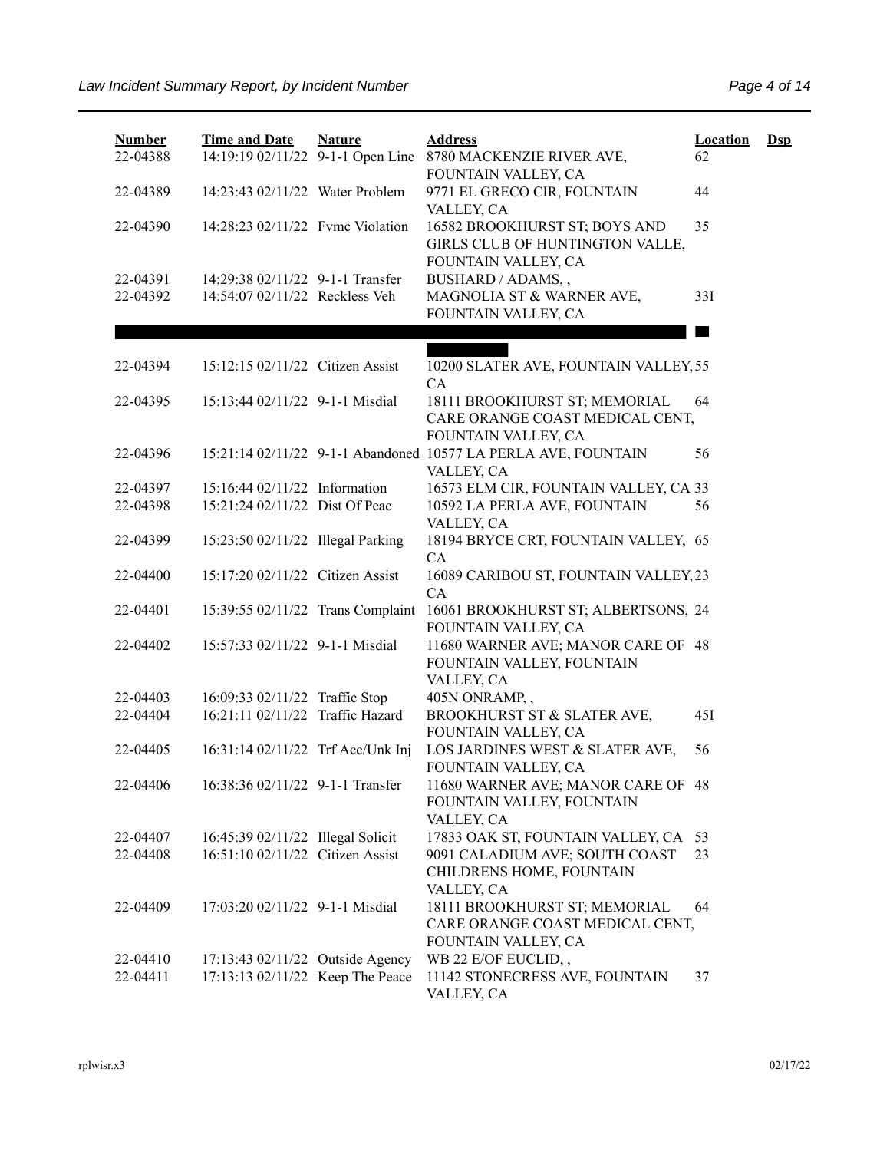| <b>Number</b><br>22-04388 | <b>Time and Date</b>                                                 | <b>Nature</b> | <b>Address</b><br>14:19:19 02/11/22 9-1-1 Open Line 8780 MACKENZIE RIVER AVE,           | <b>Location</b><br>62 | $\mathbf{Dsp}$ |
|---------------------------|----------------------------------------------------------------------|---------------|-----------------------------------------------------------------------------------------|-----------------------|----------------|
| 22-04389                  | 14:23:43 02/11/22 Water Problem                                      |               | FOUNTAIN VALLEY, CA<br>9771 EL GRECO CIR, FOUNTAIN<br>VALLEY, CA                        | 44                    |                |
| 22-04390                  | 14:28:23 02/11/22 Fvmc Violation                                     |               | 16582 BROOKHURST ST; BOYS AND<br>GIRLS CLUB OF HUNTINGTON VALLE,<br>FOUNTAIN VALLEY, CA | 35                    |                |
| 22-04391<br>22-04392      | 14:29:38 02/11/22 9-1-1 Transfer<br>14:54:07 02/11/22 Reckless Veh   |               | BUSHARD / ADAMS,,<br>MAGNOLIA ST & WARNER AVE,<br>FOUNTAIN VALLEY, CA                   | 33I                   |                |
|                           |                                                                      |               |                                                                                         |                       |                |
| 22-04394                  | 15:12:15 02/11/22 Citizen Assist                                     |               | 10200 SLATER AVE, FOUNTAIN VALLEY, 55<br><b>CA</b>                                      |                       |                |
| 22-04395                  | 15:13:44 02/11/22 9-1-1 Misdial                                      |               | 18111 BROOKHURST ST; MEMORIAL<br>CARE ORANGE COAST MEDICAL CENT,<br>FOUNTAIN VALLEY, CA | 64                    |                |
| 22-04396                  |                                                                      |               | 15:21:14 02/11/22 9-1-1 Abandoned 10577 LA PERLA AVE, FOUNTAIN<br>VALLEY, CA            | 56                    |                |
| 22-04397                  | 15:16:44 02/11/22 Information                                        |               | 16573 ELM CIR, FOUNTAIN VALLEY, CA 33                                                   |                       |                |
| 22-04398                  | 15:21:24 02/11/22 Dist Of Peac                                       |               | 10592 LA PERLA AVE, FOUNTAIN<br>VALLEY, CA                                              | 56                    |                |
| 22-04399                  | 15:23:50 02/11/22 Illegal Parking                                    |               | 18194 BRYCE CRT, FOUNTAIN VALLEY, 65<br>CA                                              |                       |                |
| 22-04400                  | 15:17:20 02/11/22 Citizen Assist                                     |               | 16089 CARIBOU ST, FOUNTAIN VALLEY, 23<br>CA                                             |                       |                |
| 22-04401                  | 15:39:55 02/11/22 Trans Complaint                                    |               | 16061 BROOKHURST ST; ALBERTSONS, 24<br>FOUNTAIN VALLEY, CA                              |                       |                |
| 22-04402                  | 15:57:33 02/11/22 9-1-1 Misdial                                      |               | 11680 WARNER AVE; MANOR CARE OF 48<br>FOUNTAIN VALLEY, FOUNTAIN<br>VALLEY, CA           |                       |                |
| 22-04403                  | 16:09:33 02/11/22 Traffic Stop                                       |               | 405N ONRAMP,,                                                                           |                       |                |
| 22-04404                  | 16:21:11 02/11/22 Traffic Hazard                                     |               | BROOKHURST ST & SLATER AVE,<br>FOUNTAIN VALLEY, CA                                      | 45I                   |                |
| 22-04405                  | 16:31:14 02/11/22 Trf Acc/Unk Inj                                    |               | LOS JARDINES WEST & SLATER AVE,<br>FOUNTAIN VALLEY, CA                                  | 56                    |                |
| 22-04406                  | 16:38:36 02/11/22 9-1-1 Transfer                                     |               | 11680 WARNER AVE; MANOR CARE OF 48<br>FOUNTAIN VALLEY, FOUNTAIN<br>VALLEY, CA           |                       |                |
| 22-04407                  | 16:45:39 02/11/22 Illegal Solicit                                    |               | 17833 OAK ST, FOUNTAIN VALLEY, CA 53                                                    |                       |                |
| 22-04408                  | 16:51:10 02/11/22 Citizen Assist                                     |               | 9091 CALADIUM AVE; SOUTH COAST<br>CHILDRENS HOME, FOUNTAIN<br>VALLEY, CA                | 23                    |                |
| 22-04409                  | 17:03:20 02/11/22 9-1-1 Misdial                                      |               | 18111 BROOKHURST ST; MEMORIAL<br>CARE ORANGE COAST MEDICAL CENT,<br>FOUNTAIN VALLEY, CA | 64                    |                |
| 22-04410<br>22-04411      | 17:13:43 02/11/22 Outside Agency<br>17:13:13 02/11/22 Keep The Peace |               | WB 22 E/OF EUCLID,,<br>11142 STONECRESS AVE, FOUNTAIN                                   | 37                    |                |
|                           |                                                                      |               | VALLEY, CA                                                                              |                       |                |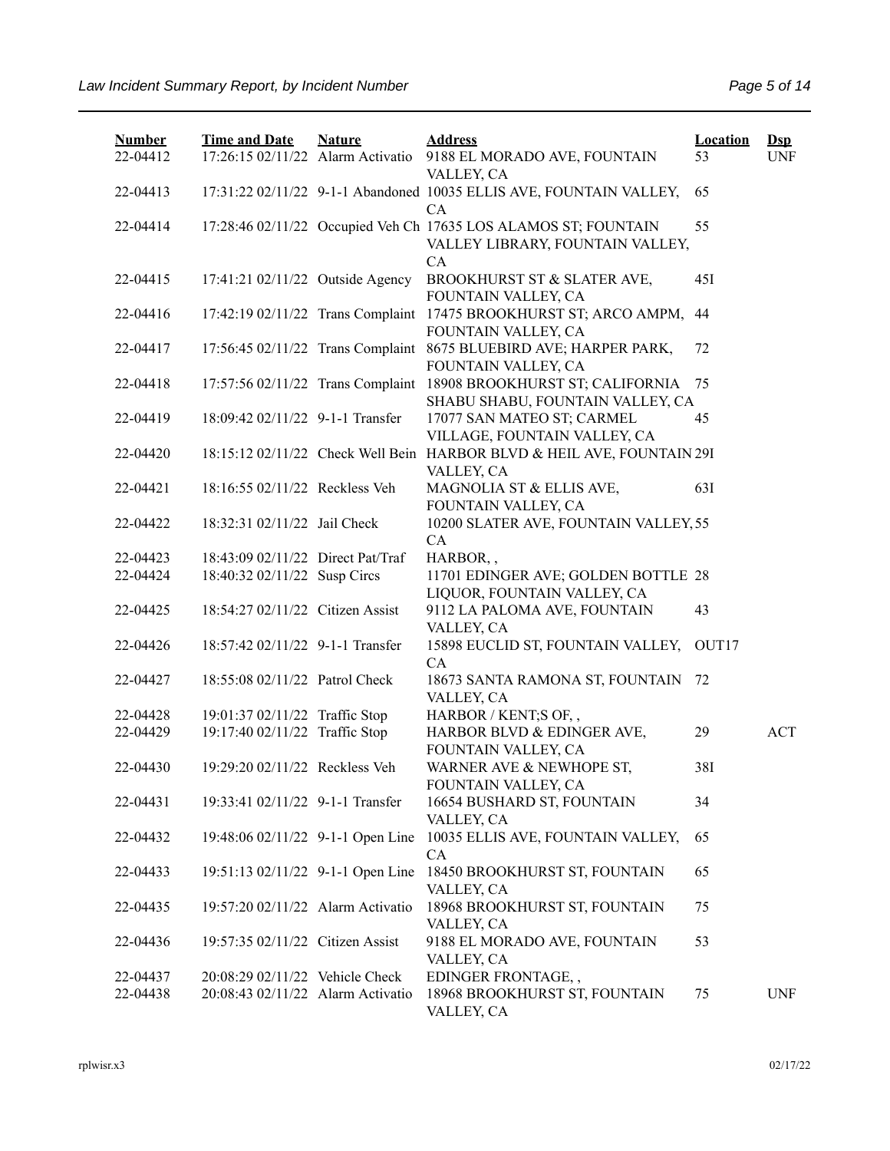| <b>Number</b> | <b>Time and Date</b>              | <b>Nature</b> | <b>Address</b>                                                                                         | <b>Location</b> | $\mathbf{Dsp}$ |
|---------------|-----------------------------------|---------------|--------------------------------------------------------------------------------------------------------|-----------------|----------------|
| 22-04412      | 17:26:15 02/11/22 Alarm Activatio |               | 9188 EL MORADO AVE, FOUNTAIN                                                                           | 53              | <b>UNF</b>     |
| 22-04413      |                                   |               | VALLEY, CA<br>17:31:22 02/11/22 9-1-1 Abandoned 10035 ELLIS AVE, FOUNTAIN VALLEY,                      | 65              |                |
|               |                                   |               | CA                                                                                                     |                 |                |
| 22-04414      |                                   |               | 17:28:46 02/11/22 Occupied Veh Ch 17635 LOS ALAMOS ST; FOUNTAIN                                        | 55              |                |
|               |                                   |               | VALLEY LIBRARY, FOUNTAIN VALLEY,                                                                       |                 |                |
|               |                                   |               | CA                                                                                                     |                 |                |
| 22-04415      | 17:41:21 02/11/22 Outside Agency  |               | BROOKHURST ST & SLATER AVE,<br>FOUNTAIN VALLEY, CA                                                     | 451             |                |
| 22-04416      |                                   |               | 17:42:19 02/11/22 Trans Complaint 17475 BROOKHURST ST; ARCO AMPM,                                      | 44              |                |
|               |                                   |               | FOUNTAIN VALLEY, CA                                                                                    |                 |                |
| 22-04417      |                                   |               | 17:56:45 02/11/22 Trans Complaint 8675 BLUEBIRD AVE; HARPER PARK,                                      | 72              |                |
|               |                                   |               | FOUNTAIN VALLEY, CA                                                                                    |                 |                |
| 22-04418      |                                   |               | 17:57:56 02/11/22 Trans Complaint 18908 BROOKHURST ST; CALIFORNIA                                      | 75              |                |
|               |                                   |               | SHABU SHABU, FOUNTAIN VALLEY, CA                                                                       |                 |                |
| 22-04419      | 18:09:42 02/11/22 9-1-1 Transfer  |               | 17077 SAN MATEO ST; CARMEL                                                                             | 45              |                |
| 22-04420      |                                   |               | VILLAGE, FOUNTAIN VALLEY, CA<br>18:15:12 02/11/22 Check Well Bein HARBOR BLVD & HEIL AVE, FOUNTAIN 29I |                 |                |
|               |                                   |               | VALLEY, CA                                                                                             |                 |                |
| 22-04421      | 18:16:55 02/11/22 Reckless Veh    |               | MAGNOLIA ST & ELLIS AVE,                                                                               | 63I             |                |
|               |                                   |               | FOUNTAIN VALLEY, CA                                                                                    |                 |                |
| 22-04422      | 18:32:31 02/11/22 Jail Check      |               | 10200 SLATER AVE, FOUNTAIN VALLEY, 55                                                                  |                 |                |
|               |                                   |               | CA                                                                                                     |                 |                |
| 22-04423      | 18:43:09 02/11/22 Direct Pat/Traf |               | HARBOR,,                                                                                               |                 |                |
| 22-04424      | 18:40:32 02/11/22 Susp Circs      |               | 11701 EDINGER AVE; GOLDEN BOTTLE 28                                                                    |                 |                |
|               |                                   |               | LIQUOR, FOUNTAIN VALLEY, CA                                                                            |                 |                |
| 22-04425      | 18:54:27 02/11/22 Citizen Assist  |               | 9112 LA PALOMA AVE, FOUNTAIN                                                                           | 43              |                |
|               |                                   |               | VALLEY, CA                                                                                             |                 |                |
| 22-04426      | 18:57:42 02/11/22 9-1-1 Transfer  |               | 15898 EUCLID ST, FOUNTAIN VALLEY,                                                                      | OUT17           |                |
| 22-04427      | 18:55:08 02/11/22 Patrol Check    |               | CA<br>18673 SANTA RAMONA ST, FOUNTAIN                                                                  | 72              |                |
|               |                                   |               | VALLEY, CA                                                                                             |                 |                |
| 22-04428      | 19:01:37 02/11/22 Traffic Stop    |               | HARBOR / KENT;S OF,,                                                                                   |                 |                |
| 22-04429      | 19:17:40 02/11/22 Traffic Stop    |               | HARBOR BLVD & EDINGER AVE,                                                                             | 29              | <b>ACT</b>     |
|               |                                   |               | FOUNTAIN VALLEY, CA                                                                                    |                 |                |
| 22-04430      | 19:29:20 02/11/22 Reckless Veh    |               | WARNER AVE & NEWHOPE ST,                                                                               | 38I             |                |
|               |                                   |               | FOUNTAIN VALLEY, CA                                                                                    |                 |                |
| 22-04431      | 19:33:41 02/11/22 9-1-1 Transfer  |               | 16654 BUSHARD ST, FOUNTAIN                                                                             | 34              |                |
|               |                                   |               | VALLEY, CA                                                                                             |                 |                |
| 22-04432      | 19:48:06 02/11/22 9-1-1 Open Line |               | 10035 ELLIS AVE, FOUNTAIN VALLEY,                                                                      | 65              |                |
| 22-04433      | 19:51:13 02/11/22 9-1-1 Open Line |               | CA<br>18450 BROOKHURST ST, FOUNTAIN                                                                    | 65              |                |
|               |                                   |               | VALLEY, CA                                                                                             |                 |                |
| 22-04435      | 19:57:20 02/11/22 Alarm Activatio |               | 18968 BROOKHURST ST, FOUNTAIN                                                                          | 75              |                |
|               |                                   |               | VALLEY, CA                                                                                             |                 |                |
| 22-04436      | 19:57:35 02/11/22 Citizen Assist  |               | 9188 EL MORADO AVE, FOUNTAIN                                                                           | 53              |                |
|               |                                   |               | VALLEY, CA                                                                                             |                 |                |
| 22-04437      | 20:08:29 02/11/22 Vehicle Check   |               | EDINGER FRONTAGE,,                                                                                     |                 |                |
| 22-04438      | 20:08:43 02/11/22 Alarm Activatio |               | 18968 BROOKHURST ST, FOUNTAIN                                                                          | 75              | <b>UNF</b>     |
|               |                                   |               | VALLEY, CA                                                                                             |                 |                |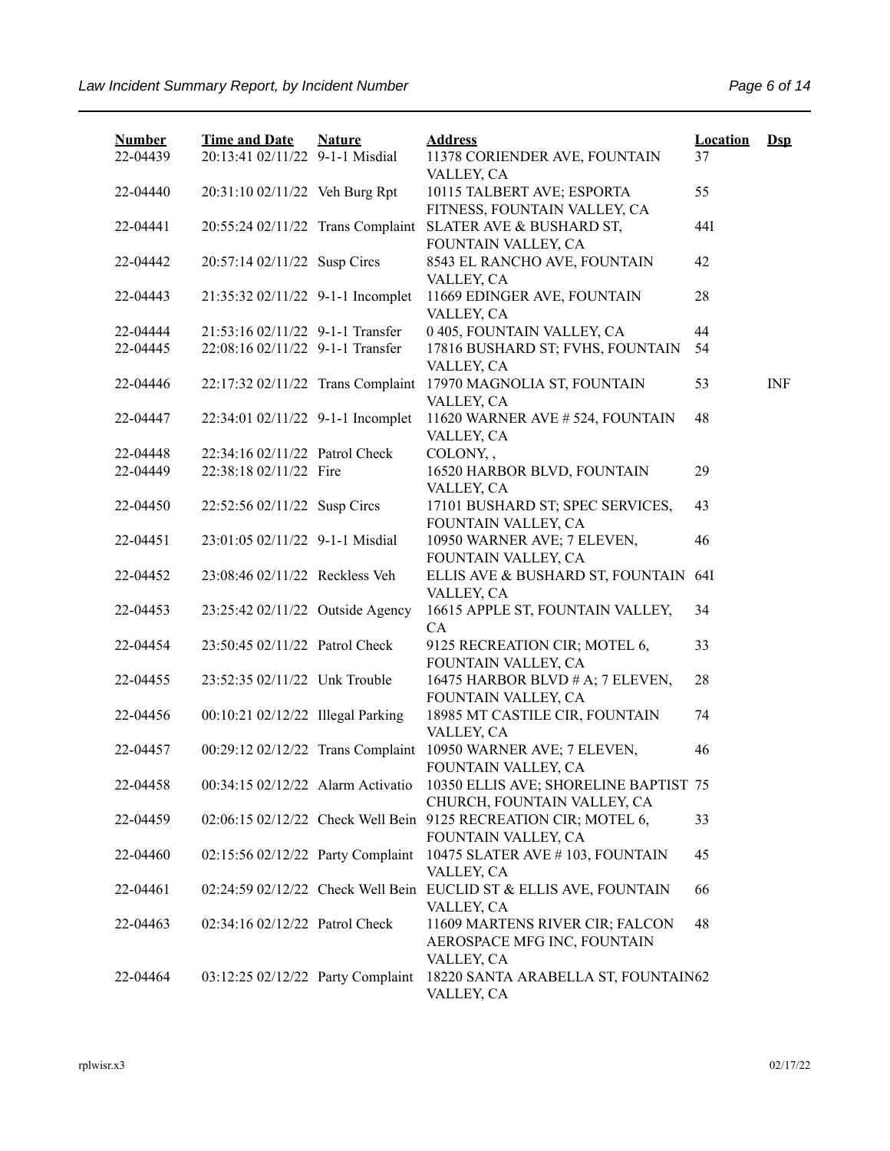| <b>Number</b><br>22-04439 | <b>Time and Date</b><br>20:13:41 02/11/22 9-1-1 Misdial | <b>Nature</b> | <b>Address</b><br>11378 CORIENDER AVE, FOUNTAIN                                        | <b>Location</b><br>37 | $Dsp$      |
|---------------------------|---------------------------------------------------------|---------------|----------------------------------------------------------------------------------------|-----------------------|------------|
|                           |                                                         |               | VALLEY, CA                                                                             |                       |            |
| 22-04440                  | 20:31:10 02/11/22 Veh Burg Rpt                          |               | 10115 TALBERT AVE; ESPORTA<br>FITNESS, FOUNTAIN VALLEY, CA                             | 55                    |            |
| 22-04441                  | 20:55:24 02/11/22 Trans Complaint                       |               | SLATER AVE & BUSHARD ST,<br>FOUNTAIN VALLEY, CA                                        | 44I                   |            |
| 22-04442                  | 20:57:14 02/11/22 Susp Circs                            |               | 8543 EL RANCHO AVE, FOUNTAIN<br>VALLEY, CA                                             | 42                    |            |
| 22-04443                  | 21:35:32 02/11/22 9-1-1 Incomplet                       |               | 11669 EDINGER AVE, FOUNTAIN<br>VALLEY, CA                                              | 28                    |            |
| 22-04444                  | 21:53:16 02/11/22 9-1-1 Transfer                        |               | 0 405, FOUNTAIN VALLEY, CA                                                             | 44                    |            |
| 22-04445                  | 22:08:16 02/11/22 9-1-1 Transfer                        |               | 17816 BUSHARD ST; FVHS, FOUNTAIN                                                       | 54                    |            |
|                           |                                                         |               | VALLEY, CA                                                                             |                       |            |
| 22-04446                  | 22:17:32 02/11/22 Trans Complaint                       |               | 17970 MAGNOLIA ST, FOUNTAIN<br>VALLEY, CA                                              | 53                    | <b>INF</b> |
| 22-04447                  | 22:34:01 02/11/22 9-1-1 Incomplet                       |               | 11620 WARNER AVE # 524, FOUNTAIN                                                       | 48                    |            |
| 22-04448                  | 22:34:16 02/11/22 Patrol Check                          |               | VALLEY, CA<br>COLONY,,                                                                 |                       |            |
| 22-04449                  | 22:38:18 02/11/22 Fire                                  |               | 16520 HARBOR BLVD, FOUNTAIN                                                            | 29                    |            |
|                           |                                                         |               | VALLEY, CA                                                                             |                       |            |
| 22-04450                  | 22:52:56 02/11/22 Susp Circs                            |               | 17101 BUSHARD ST; SPEC SERVICES,                                                       | 43                    |            |
|                           |                                                         |               | FOUNTAIN VALLEY, CA                                                                    |                       |            |
| 22-04451                  | 23:01:05 02/11/22 9-1-1 Misdial                         |               | 10950 WARNER AVE; 7 ELEVEN,<br>FOUNTAIN VALLEY, CA                                     | 46                    |            |
| 22-04452                  | 23:08:46 02/11/22 Reckless Veh                          |               | ELLIS AVE & BUSHARD ST, FOUNTAIN<br>VALLEY, CA                                         | 64I                   |            |
| 22-04453                  | 23:25:42 02/11/22 Outside Agency                        |               | 16615 APPLE ST, FOUNTAIN VALLEY,<br>CA                                                 | 34                    |            |
| 22-04454                  | 23:50:45 02/11/22 Patrol Check                          |               | 9125 RECREATION CIR; MOTEL 6,<br>FOUNTAIN VALLEY, CA                                   | 33                    |            |
| 22-04455                  | 23:52:35 02/11/22 Unk Trouble                           |               | 16475 HARBOR BLVD # A; 7 ELEVEN,<br>FOUNTAIN VALLEY, CA                                | 28                    |            |
| 22-04456                  | 00:10:21 02/12/22 Illegal Parking                       |               | 18985 MT CASTILE CIR, FOUNTAIN<br>VALLEY, CA                                           | 74                    |            |
| 22-04457                  | 00:29:12 02/12/22 Trans Complaint                       |               | 10950 WARNER AVE; 7 ELEVEN,<br>FOUNTAIN VALLEY, CA                                     | 46                    |            |
| 22-04458                  | 00:34:15 02/12/22 Alarm Activatio                       |               | 10350 ELLIS AVE; SHORELINE BAPTIST 75<br>CHURCH, FOUNTAIN VALLEY, CA                   |                       |            |
| 22-04459                  |                                                         |               | 02:06:15 02/12/22 Check Well Bein 9125 RECREATION CIR; MOTEL 6,<br>FOUNTAIN VALLEY, CA | 33                    |            |
| 22-04460                  | 02:15:56 02/12/22 Party Complaint                       |               | 10475 SLATER AVE #103, FOUNTAIN<br>VALLEY, CA                                          | 45                    |            |
| 22-04461                  |                                                         |               | 02:24:59 02/12/22 Check Well Bein EUCLID ST & ELLIS AVE, FOUNTAIN<br>VALLEY, CA        | 66                    |            |
| 22-04463                  | 02:34:16 02/12/22 Patrol Check                          |               | 11609 MARTENS RIVER CIR; FALCON<br>AEROSPACE MFG INC, FOUNTAIN<br>VALLEY, CA           | 48                    |            |
| 22-04464                  | 03:12:25 02/12/22 Party Complaint                       |               | 18220 SANTA ARABELLA ST, FOUNTAIN62<br>VALLEY, CA                                      |                       |            |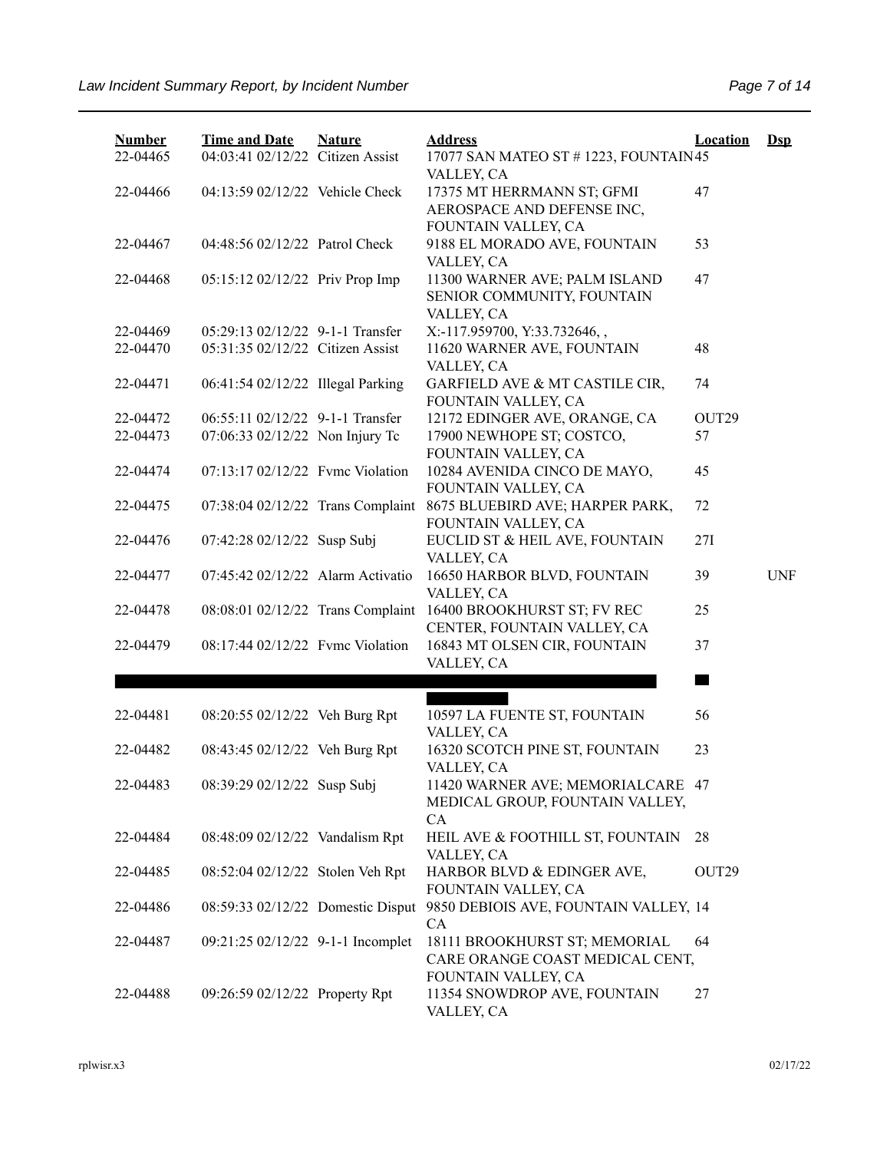| <b>Number</b><br>22-04465 | <b>Time and Date</b><br>04:03:41 02/12/22 Citizen Assist | <b>Nature</b> | <b>Address</b><br>17077 SAN MATEO ST # 1223, FOUNTAIN45                   | Location          | $Dep$      |
|---------------------------|----------------------------------------------------------|---------------|---------------------------------------------------------------------------|-------------------|------------|
| 22-04466                  | 04:13:59 02/12/22 Vehicle Check                          |               | VALLEY, CA<br>17375 MT HERRMANN ST; GFMI<br>AEROSPACE AND DEFENSE INC,    | 47                |            |
| 22-04467                  | 04:48:56 02/12/22 Patrol Check                           |               | FOUNTAIN VALLEY, CA<br>9188 EL MORADO AVE, FOUNTAIN<br>VALLEY, CA         | 53                |            |
| 22-04468                  | 05:15:12 02/12/22 Priv Prop Imp                          |               | 11300 WARNER AVE; PALM ISLAND<br>SENIOR COMMUNITY, FOUNTAIN<br>VALLEY, CA | 47                |            |
| 22-04469                  | 05:29:13 02/12/22 9-1-1 Transfer                         |               | X:-117.959700, Y:33.732646,,                                              |                   |            |
| 22-04470                  | 05:31:35 02/12/22 Citizen Assist                         |               | 11620 WARNER AVE, FOUNTAIN<br>VALLEY, CA                                  | 48                |            |
| 22-04471                  | 06:41:54 02/12/22 Illegal Parking                        |               | GARFIELD AVE & MT CASTILE CIR,<br>FOUNTAIN VALLEY, CA                     | 74                |            |
| 22-04472                  | 06:55:11 02/12/22 9-1-1 Transfer                         |               | 12172 EDINGER AVE, ORANGE, CA                                             | OUT <sub>29</sub> |            |
| 22-04473                  | 07:06:33 02/12/22 Non Injury Tc                          |               | 17900 NEWHOPE ST; COSTCO,<br>FOUNTAIN VALLEY, CA                          | 57                |            |
| 22-04474                  | 07:13:17 02/12/22 Fvmc Violation                         |               | 10284 AVENIDA CINCO DE MAYO,<br>FOUNTAIN VALLEY, CA                       | 45                |            |
| 22-04475                  | 07:38:04 02/12/22 Trans Complaint                        |               | 8675 BLUEBIRD AVE; HARPER PARK,<br>FOUNTAIN VALLEY, CA                    | 72                |            |
| 22-04476                  | 07:42:28 02/12/22 Susp Subj                              |               | EUCLID ST & HEIL AVE, FOUNTAIN<br>VALLEY, CA                              | 27I               |            |
| 22-04477                  | 07:45:42 02/12/22 Alarm Activatio                        |               | 16650 HARBOR BLVD, FOUNTAIN<br>VALLEY, CA                                 | 39                | <b>UNF</b> |
| 22-04478                  | 08:08:01 02/12/22 Trans Complaint                        |               | 16400 BROOKHURST ST; FV REC<br>CENTER, FOUNTAIN VALLEY, CA                | 25                |            |
| 22-04479                  | 08:17:44 02/12/22 Fyme Violation                         |               | 16843 MT OLSEN CIR, FOUNTAIN<br>VALLEY, CA                                | 37                |            |
|                           |                                                          |               |                                                                           |                   |            |
| 22-04481                  | 08:20:55 02/12/22 Veh Burg Rpt                           |               | 10597 LA FUENTE ST, FOUNTAIN                                              | 56                |            |
| 22-04482                  | 08:43:45 02/12/22 Veh Burg Rpt                           |               | VALLEY, CA<br>16320 SCOTCH PINE ST, FOUNTAIN<br>VALLEY, CA                | 23                |            |
| 22-04483                  | 08:39:29 02/12/22 Susp Subj                              |               | 11420 WARNER AVE; MEMORIALCARE 47<br>MEDICAL GROUP, FOUNTAIN VALLEY,      |                   |            |
| 22-04484                  | 08:48:09 02/12/22 Vandalism Rpt                          |               | CA<br>HEIL AVE & FOOTHILL ST, FOUNTAIN<br>VALLEY, CA                      | 28                |            |
| 22-04485                  | 08:52:04 02/12/22 Stolen Veh Rpt                         |               | HARBOR BLVD & EDINGER AVE,<br>FOUNTAIN VALLEY, CA                         | OUT29             |            |
| 22-04486                  | 08:59:33 02/12/22 Domestic Disput                        |               | 9850 DEBIOIS AVE, FOUNTAIN VALLEY, 14<br><b>CA</b>                        |                   |            |
| 22-04487                  | 09:21:25 02/12/22 9-1-1 Incomplet                        |               | 18111 BROOKHURST ST; MEMORIAL<br>CARE ORANGE COAST MEDICAL CENT,          | 64                |            |
| 22-04488                  | 09:26:59 02/12/22 Property Rpt                           |               | FOUNTAIN VALLEY, CA<br>11354 SNOWDROP AVE, FOUNTAIN<br>VALLEY, CA         | 27                |            |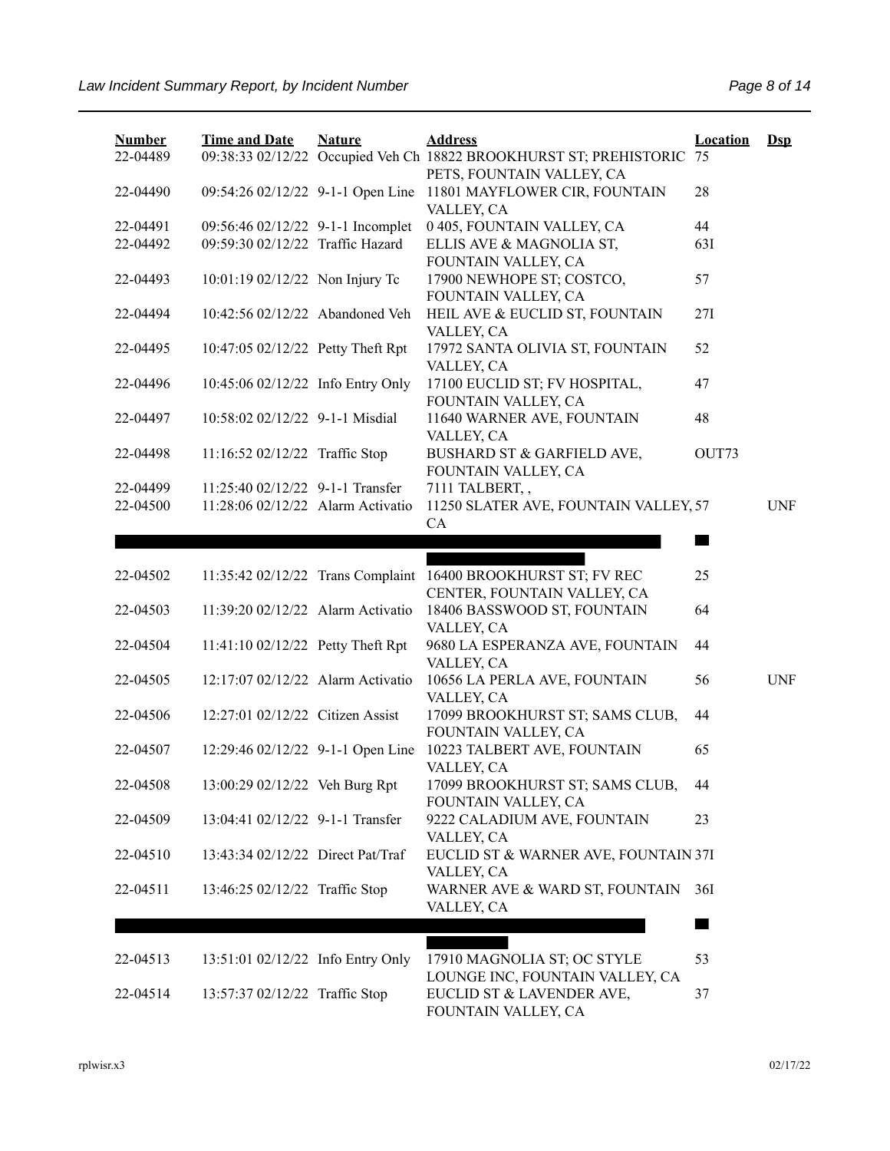| <b>Number</b> | <b>Time and Date</b>              | <b>Nature</b> | <b>Address</b>                                                        | Location | $Ds$       |
|---------------|-----------------------------------|---------------|-----------------------------------------------------------------------|----------|------------|
| 22-04489      |                                   |               | 09:38:33 02/12/22 Occupied Veh Ch 18822 BROOKHURST ST; PREHISTORIC 75 |          |            |
|               |                                   |               | PETS, FOUNTAIN VALLEY, CA                                             |          |            |
| 22-04490      | 09:54:26 02/12/22 9-1-1 Open Line |               | 11801 MAYFLOWER CIR, FOUNTAIN                                         | 28       |            |
|               |                                   |               | VALLEY, CA                                                            |          |            |
| 22-04491      | 09:56:46 02/12/22 9-1-1 Incomplet |               | 0 405, FOUNTAIN VALLEY, CA                                            | 44       |            |
| 22-04492      | 09:59:30 02/12/22 Traffic Hazard  |               | ELLIS AVE & MAGNOLIA ST,                                              | 63I      |            |
|               |                                   |               | FOUNTAIN VALLEY, CA                                                   |          |            |
| 22-04493      | 10:01:19 02/12/22 Non Injury Tc   |               | 17900 NEWHOPE ST; COSTCO,                                             | 57       |            |
|               |                                   |               | FOUNTAIN VALLEY, CA                                                   |          |            |
| 22-04494      | 10:42:56 02/12/22 Abandoned Veh   |               | HEIL AVE & EUCLID ST, FOUNTAIN                                        | 27I      |            |
|               |                                   |               | VALLEY, CA                                                            |          |            |
| 22-04495      | 10:47:05 02/12/22 Petty Theft Rpt |               | 17972 SANTA OLIVIA ST, FOUNTAIN                                       | 52       |            |
|               |                                   |               | VALLEY, CA                                                            |          |            |
| 22-04496      | 10:45:06 02/12/22 Info Entry Only |               | 17100 EUCLID ST; FV HOSPITAL,                                         | 47       |            |
|               |                                   |               | FOUNTAIN VALLEY, CA                                                   |          |            |
| 22-04497      | 10:58:02 02/12/22 9-1-1 Misdial   |               | 11640 WARNER AVE, FOUNTAIN                                            | 48       |            |
|               |                                   |               | VALLEY, CA                                                            |          |            |
| 22-04498      | 11:16:52 02/12/22 Traffic Stop    |               | BUSHARD ST & GARFIELD AVE,                                            | OUT73    |            |
|               |                                   |               | FOUNTAIN VALLEY, CA                                                   |          |            |
| 22-04499      | 11:25:40 02/12/22 9-1-1 Transfer  |               | 7111 TALBERT,,                                                        |          |            |
| 22-04500      | 11:28:06 02/12/22 Alarm Activatio |               | 11250 SLATER AVE, FOUNTAIN VALLEY, 57                                 |          | <b>UNF</b> |
|               |                                   |               | CA                                                                    |          |            |
|               |                                   |               |                                                                       |          |            |
|               |                                   |               |                                                                       |          |            |
| 22-04502      |                                   |               | 11:35:42 02/12/22 Trans Complaint 16400 BROOKHURST ST; FV REC         | 25       |            |
| 22-04503      | 11:39:20 02/12/22 Alarm Activatio |               | CENTER, FOUNTAIN VALLEY, CA<br>18406 BASSWOOD ST, FOUNTAIN            | 64       |            |
|               |                                   |               | VALLEY, CA                                                            |          |            |
| 22-04504      | 11:41:10 02/12/22 Petty Theft Rpt |               | 9680 LA ESPERANZA AVE, FOUNTAIN                                       | 44       |            |
|               |                                   |               | VALLEY, CA                                                            |          |            |
| 22-04505      | 12:17:07 02/12/22 Alarm Activatio |               | 10656 LA PERLA AVE, FOUNTAIN                                          | 56       | <b>UNF</b> |
|               |                                   |               | VALLEY, CA                                                            |          |            |
| 22-04506      | 12:27:01 02/12/22 Citizen Assist  |               | 17099 BROOKHURST ST; SAMS CLUB,                                       | 44       |            |
|               |                                   |               | FOUNTAIN VALLEY, CA                                                   |          |            |
| 22-04507      | 12:29:46 02/12/22 9-1-1 Open Line |               | 10223 TALBERT AVE, FOUNTAIN                                           | 65       |            |
|               |                                   |               | VALLEY, CA                                                            |          |            |
| 22-04508      | 13:00:29 02/12/22 Veh Burg Rpt    |               | 17099 BROOKHURST ST; SAMS CLUB,                                       | 44       |            |
|               |                                   |               | FOUNTAIN VALLEY, CA                                                   |          |            |
| 22-04509      | 13:04:41 02/12/22 9-1-1 Transfer  |               | 9222 CALADIUM AVE, FOUNTAIN                                           | 23       |            |
|               |                                   |               | VALLEY, CA                                                            |          |            |
| 22-04510      | 13:43:34 02/12/22 Direct Pat/Traf |               | EUCLID ST & WARNER AVE, FOUNTAIN 37I                                  |          |            |
|               |                                   |               | VALLEY, CA                                                            |          |            |
| 22-04511      | 13:46:25 02/12/22 Traffic Stop    |               | WARNER AVE & WARD ST, FOUNTAIN                                        | 36I      |            |
|               |                                   |               | VALLEY, CA                                                            |          |            |
|               |                                   |               |                                                                       |          |            |
|               |                                   |               |                                                                       |          |            |
| 22-04513      | 13:51:01 02/12/22 Info Entry Only |               | 17910 MAGNOLIA ST; OC STYLE                                           | 53       |            |
|               |                                   |               | LOUNGE INC, FOUNTAIN VALLEY, CA                                       |          |            |
| 22-04514      | 13:57:37 02/12/22 Traffic Stop    |               | EUCLID ST & LAVENDER AVE,                                             | 37       |            |
|               |                                   |               | FOUNTAIN VALLEY, CA                                                   |          |            |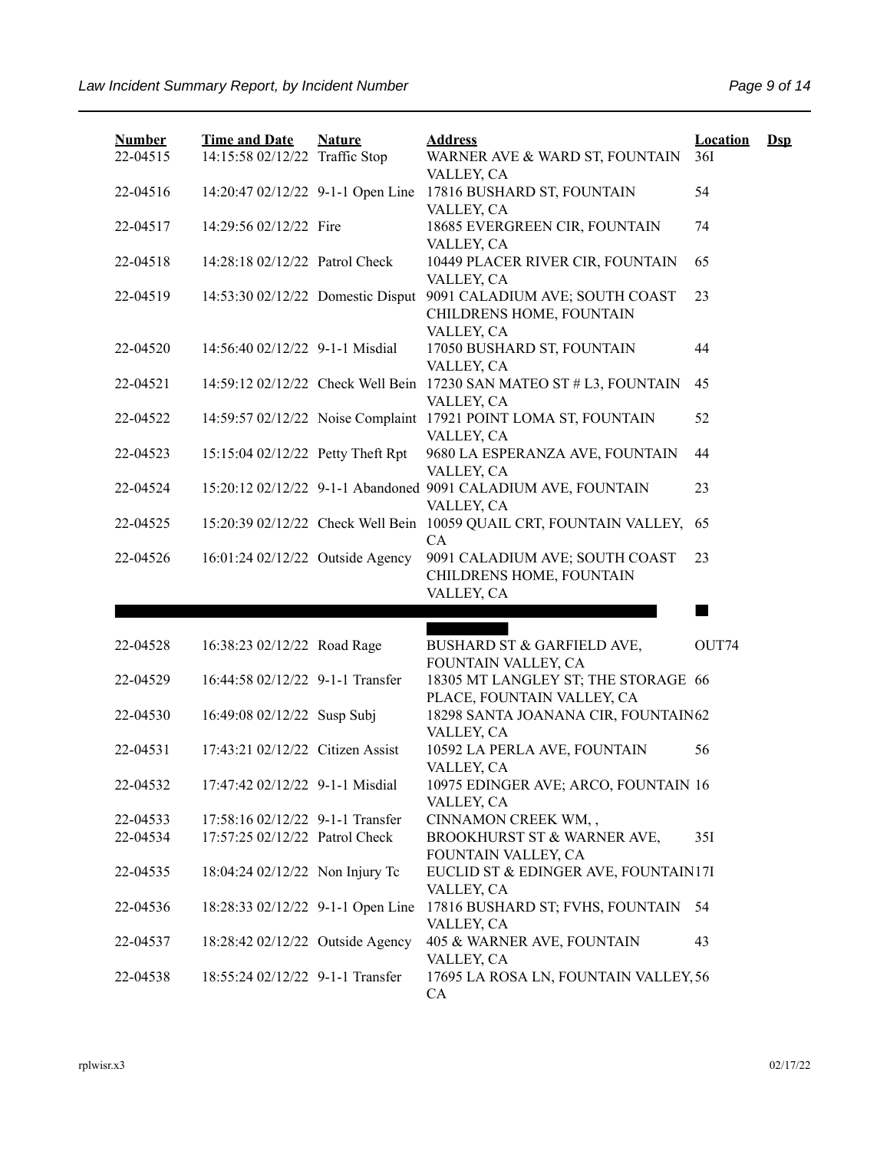| <b>Number</b><br>22-04515 | <b>Time and Date</b><br>14:15:58 02/12/22 Traffic Stop | <b>Nature</b> | <b>Address</b><br>WARNER AVE & WARD ST, FOUNTAIN<br>VALLEY, CA                    | <b>Location</b><br>36I | $\mathbf{Dsp}$ |
|---------------------------|--------------------------------------------------------|---------------|-----------------------------------------------------------------------------------|------------------------|----------------|
| 22-04516                  | 14:20:47 02/12/22 9-1-1 Open Line                      |               | 17816 BUSHARD ST, FOUNTAIN<br>VALLEY, CA                                          | 54                     |                |
| 22-04517                  | 14:29:56 02/12/22 Fire                                 |               | 18685 EVERGREEN CIR, FOUNTAIN<br>VALLEY, CA                                       | 74                     |                |
| 22-04518                  | 14:28:18 02/12/22 Patrol Check                         |               | 10449 PLACER RIVER CIR, FOUNTAIN<br>VALLEY, CA                                    | 65                     |                |
| 22-04519                  | 14:53:30 02/12/22 Domestic Disput                      |               | 9091 CALADIUM AVE; SOUTH COAST<br>CHILDRENS HOME, FOUNTAIN<br>VALLEY, CA          | 23                     |                |
| 22-04520                  | 14:56:40 02/12/22 9-1-1 Misdial                        |               | 17050 BUSHARD ST, FOUNTAIN<br>VALLEY, CA                                          | 44                     |                |
| 22-04521                  |                                                        |               | 14:59:12 02/12/22 Check Well Bein 17230 SAN MATEO ST # L3, FOUNTAIN<br>VALLEY, CA | 45                     |                |
| 22-04522                  |                                                        |               | 14:59:57 02/12/22 Noise Complaint 17921 POINT LOMA ST, FOUNTAIN<br>VALLEY, CA     | 52                     |                |
| 22-04523                  | 15:15:04 02/12/22 Petty Theft Rpt                      |               | 9680 LA ESPERANZA AVE, FOUNTAIN<br>VALLEY, CA                                     | 44                     |                |
| 22-04524                  |                                                        |               | 15:20:12 02/12/22 9-1-1 Abandoned 9091 CALADIUM AVE, FOUNTAIN<br>VALLEY, CA       | 23                     |                |
| 22-04525                  |                                                        |               | 15:20:39 02/12/22 Check Well Bein 10059 QUAIL CRT, FOUNTAIN VALLEY,<br><b>CA</b>  | 65                     |                |
| 22-04526                  | 16:01:24 02/12/22 Outside Agency                       |               | 9091 CALADIUM AVE; SOUTH COAST<br>CHILDRENS HOME, FOUNTAIN<br>VALLEY, CA          | 23                     |                |
|                           |                                                        |               |                                                                                   |                        |                |
| 22-04528                  | 16:38:23 02/12/22 Road Rage                            |               | BUSHARD ST & GARFIELD AVE,<br>FOUNTAIN VALLEY, CA                                 | OUT74                  |                |
| 22-04529                  | 16:44:58 02/12/22 9-1-1 Transfer                       |               | 18305 MT LANGLEY ST; THE STORAGE 66<br>PLACE, FOUNTAIN VALLEY, CA                 |                        |                |
| 22-04530                  | 16:49:08 02/12/22 Susp Subj                            |               | 18298 SANTA JOANANA CIR, FOUNTAIN62<br>VALLEY, CA                                 |                        |                |
| 22-04531                  | 17:43:21 02/12/22 Citizen Assist                       |               | 10592 LA PERLA AVE, FOUNTAIN<br>VALLEY, CA                                        | 56                     |                |
| 22-04532                  | 17:47:42 02/12/22 9-1-1 Misdial                        |               | 10975 EDINGER AVE; ARCO, FOUNTAIN 16<br>VALLEY, CA                                |                        |                |
| 22-04533                  | 17:58:16 02/12/22 9-1-1 Transfer                       |               | CINNAMON CREEK WM,,                                                               |                        |                |
| 22-04534                  | 17:57:25 02/12/22 Patrol Check                         |               | BROOKHURST ST & WARNER AVE,<br>FOUNTAIN VALLEY, CA                                | 35I                    |                |
| 22-04535                  | 18:04:24 02/12/22 Non Injury Tc                        |               | EUCLID ST & EDINGER AVE, FOUNTAIN17I<br>VALLEY, CA                                |                        |                |
| 22-04536                  | 18:28:33 02/12/22 9-1-1 Open Line                      |               | 17816 BUSHARD ST; FVHS, FOUNTAIN<br>VALLEY, CA                                    | 54                     |                |
| 22-04537                  | 18:28:42 02/12/22 Outside Agency                       |               | 405 & WARNER AVE, FOUNTAIN<br>VALLEY, CA                                          | 43                     |                |
| 22-04538                  | 18:55:24 02/12/22 9-1-1 Transfer                       |               | 17695 LA ROSA LN, FOUNTAIN VALLEY, 56<br>CA                                       |                        |                |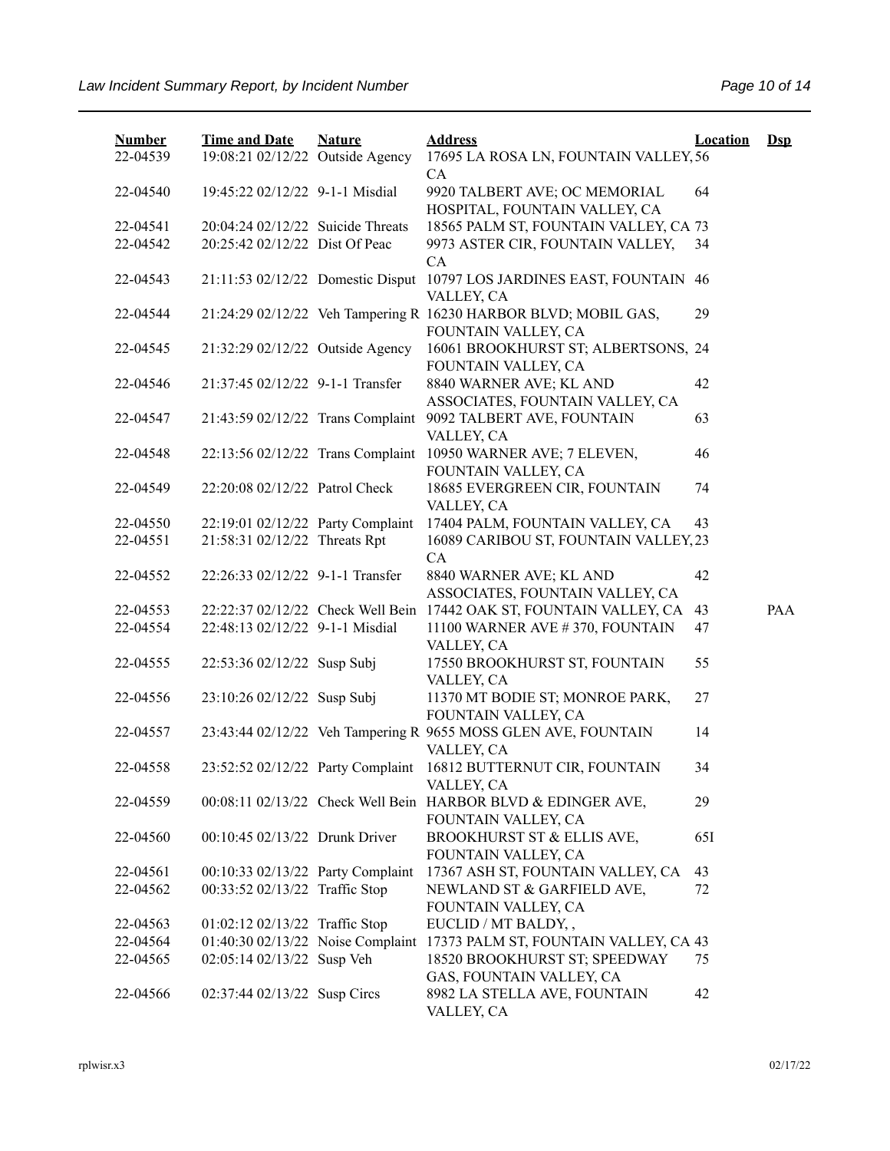| <b>Number</b> | <b>Time and Date</b>              | <b>Nature</b> | <b>Address</b>                                                                         | <b>Location</b> | $\mathbf{Dsp}$ |
|---------------|-----------------------------------|---------------|----------------------------------------------------------------------------------------|-----------------|----------------|
| 22-04539      | 19:08:21 02/12/22 Outside Agency  |               | 17695 LA ROSA LN, FOUNTAIN VALLEY, 56<br>CA                                            |                 |                |
| 22-04540      | 19:45:22 02/12/22 9-1-1 Misdial   |               | 9920 TALBERT AVE; OC MEMORIAL<br>HOSPITAL, FOUNTAIN VALLEY, CA                         | 64              |                |
| 22-04541      | 20:04:24 02/12/22 Suicide Threats |               | 18565 PALM ST, FOUNTAIN VALLEY, CA 73                                                  |                 |                |
| 22-04542      | 20:25:42 02/12/22 Dist Of Peac    |               | 9973 ASTER CIR, FOUNTAIN VALLEY,<br>CA                                                 | 34              |                |
| 22-04543      | 21:11:53 02/12/22 Domestic Disput |               | 10797 LOS JARDINES EAST, FOUNTAIN 46<br>VALLEY, CA                                     |                 |                |
| 22-04544      |                                   |               | 21:24:29 02/12/22 Veh Tampering R 16230 HARBOR BLVD; MOBIL GAS,<br>FOUNTAIN VALLEY, CA | 29              |                |
| 22-04545      | 21:32:29 02/12/22 Outside Agency  |               | 16061 BROOKHURST ST; ALBERTSONS, 24<br>FOUNTAIN VALLEY, CA                             |                 |                |
| 22-04546      | 21:37:45 02/12/22 9-1-1 Transfer  |               | 8840 WARNER AVE; KL AND<br>ASSOCIATES, FOUNTAIN VALLEY, CA                             | 42              |                |
| 22-04547      | 21:43:59 02/12/22 Trans Complaint |               | 9092 TALBERT AVE, FOUNTAIN<br>VALLEY, CA                                               | 63              |                |
| 22-04548      | 22:13:56 02/12/22 Trans Complaint |               | 10950 WARNER AVE; 7 ELEVEN,<br>FOUNTAIN VALLEY, CA                                     | 46              |                |
| 22-04549      | 22:20:08 02/12/22 Patrol Check    |               | 18685 EVERGREEN CIR, FOUNTAIN<br>VALLEY, CA                                            | 74              |                |
| 22-04550      | 22:19:01 02/12/22 Party Complaint |               | 17404 PALM, FOUNTAIN VALLEY, CA                                                        | 43              |                |
| 22-04551      | 21:58:31 02/12/22 Threats Rpt     |               | 16089 CARIBOU ST, FOUNTAIN VALLEY, 23<br>CA                                            |                 |                |
| 22-04552      | 22:26:33 02/12/22 9-1-1 Transfer  |               | 8840 WARNER AVE; KL AND<br>ASSOCIATES, FOUNTAIN VALLEY, CA                             | 42              |                |
| 22-04553      |                                   |               | 22:22:37 02/12/22 Check Well Bein 17442 OAK ST, FOUNTAIN VALLEY, CA                    | 43              | PAA            |
| 22-04554      | 22:48:13 02/12/22 9-1-1 Misdial   |               | 11100 WARNER AVE #370, FOUNTAIN<br>VALLEY, CA                                          | 47              |                |
| 22-04555      | 22:53:36 02/12/22 Susp Subj       |               | 17550 BROOKHURST ST, FOUNTAIN<br>VALLEY, CA                                            | 55              |                |
| 22-04556      | 23:10:26 02/12/22 Susp Subj       |               | 11370 MT BODIE ST; MONROE PARK,<br>FOUNTAIN VALLEY, CA                                 | 27              |                |
| 22-04557      |                                   |               | 23:43:44 02/12/22 Veh Tampering R 9655 MOSS GLEN AVE, FOUNTAIN<br>VALLEY, CA           | 14              |                |
| 22-04558      | 23:52:52 02/12/22 Party Complaint |               | 16812 BUTTERNUT CIR, FOUNTAIN<br>VALLEY, CA                                            | 34              |                |
| 22-04559      |                                   |               | 00:08:11 02/13/22 Check Well Bein HARBOR BLVD & EDINGER AVE,<br>FOUNTAIN VALLEY, CA    | 29              |                |
| 22-04560      | 00:10:45 02/13/22 Drunk Driver    |               | BROOKHURST ST & ELLIS AVE,<br>FOUNTAIN VALLEY, CA                                      | 65I             |                |
| 22-04561      | 00:10:33 02/13/22 Party Complaint |               | 17367 ASH ST, FOUNTAIN VALLEY, CA                                                      | 43              |                |
| 22-04562      | 00:33:52 02/13/22 Traffic Stop    |               | NEWLAND ST & GARFIELD AVE,<br>FOUNTAIN VALLEY, CA                                      | 72              |                |
| 22-04563      | 01:02:12 02/13/22 Traffic Stop    |               | EUCLID / MT BALDY, ,                                                                   |                 |                |
| 22-04564      | 01:40:30 02/13/22 Noise Complaint |               | 17373 PALM ST, FOUNTAIN VALLEY, CA 43                                                  |                 |                |
| 22-04565      | 02:05:14 02/13/22 Susp Veh        |               | 18520 BROOKHURST ST; SPEEDWAY<br>GAS, FOUNTAIN VALLEY, CA                              | 75              |                |
| 22-04566      | 02:37:44 02/13/22 Susp Circs      |               | 8982 LA STELLA AVE, FOUNTAIN<br>VALLEY, CA                                             | 42              |                |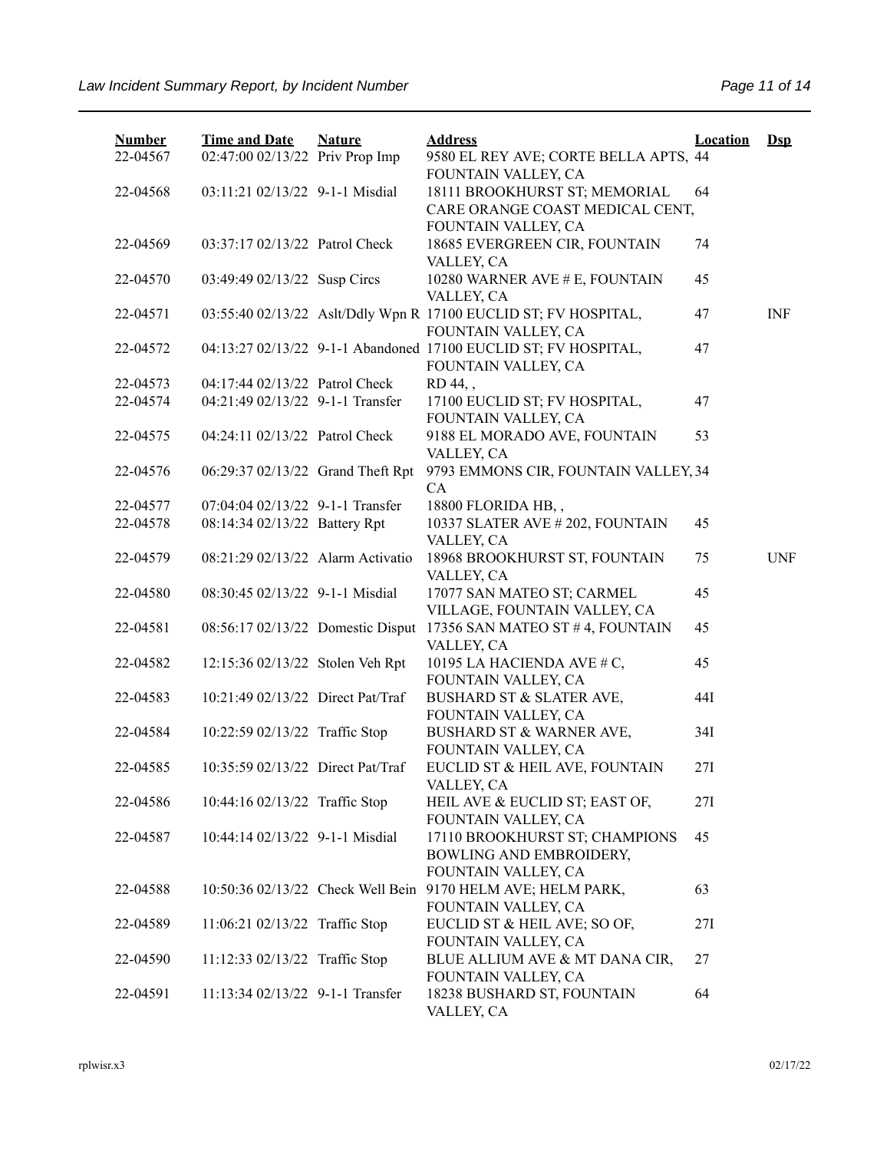| <b>Number</b><br>22-04567 | <b>Time and Date</b><br>02:47:00 02/13/22 Priv Prop Imp | <b>Nature</b> | <b>Address</b><br>9580 EL REY AVE; CORTE BELLA APTS, 44         | <b>Location</b> | $Dep$      |
|---------------------------|---------------------------------------------------------|---------------|-----------------------------------------------------------------|-----------------|------------|
|                           |                                                         |               | FOUNTAIN VALLEY, CA                                             |                 |            |
| 22-04568                  | 03:11:21 02/13/22 9-1-1 Misdial                         |               | 18111 BROOKHURST ST; MEMORIAL                                   | 64              |            |
|                           |                                                         |               | CARE ORANGE COAST MEDICAL CENT,                                 |                 |            |
|                           |                                                         |               | FOUNTAIN VALLEY, CA                                             |                 |            |
| 22-04569                  | 03:37:17 02/13/22 Patrol Check                          |               | 18685 EVERGREEN CIR, FOUNTAIN                                   | 74              |            |
|                           |                                                         |               | VALLEY, CA                                                      |                 |            |
| 22-04570                  | 03:49:49 02/13/22 Susp Circs                            |               | 10280 WARNER AVE # E, FOUNTAIN                                  | 45              |            |
|                           |                                                         |               | VALLEY, CA                                                      |                 |            |
| 22-04571                  |                                                         |               | 03:55:40 02/13/22 Aslt/Ddly Wpn R 17100 EUCLID ST; FV HOSPITAL, | 47              | <b>INF</b> |
|                           |                                                         |               | FOUNTAIN VALLEY, CA                                             |                 |            |
| 22-04572                  |                                                         |               | 04:13:27 02/13/22 9-1-1 Abandoned 17100 EUCLID ST; FV HOSPITAL, | 47              |            |
|                           |                                                         |               | FOUNTAIN VALLEY, CA                                             |                 |            |
| 22-04573                  | 04:17:44 02/13/22 Patrol Check                          |               | RD 44,,                                                         |                 |            |
| 22-04574                  | 04:21:49 02/13/22 9-1-1 Transfer                        |               | 17100 EUCLID ST; FV HOSPITAL,                                   | 47              |            |
|                           |                                                         |               | FOUNTAIN VALLEY, CA                                             |                 |            |
| 22-04575                  | 04:24:11 02/13/22 Patrol Check                          |               | 9188 EL MORADO AVE, FOUNTAIN                                    | 53              |            |
|                           |                                                         |               | VALLEY, CA                                                      |                 |            |
| 22-04576                  | 06:29:37 02/13/22 Grand Theft Rpt                       |               | 9793 EMMONS CIR, FOUNTAIN VALLEY, 34                            |                 |            |
|                           |                                                         |               | CA                                                              |                 |            |
| 22-04577                  | 07:04:04 02/13/22 9-1-1 Transfer                        |               | 18800 FLORIDA HB,,                                              |                 |            |
| 22-04578                  | 08:14:34 02/13/22 Battery Rpt                           |               | 10337 SLATER AVE # 202, FOUNTAIN                                | 45              |            |
|                           |                                                         |               | VALLEY, CA                                                      |                 |            |
| 22-04579                  | 08:21:29 02/13/22 Alarm Activatio                       |               | 18968 BROOKHURST ST, FOUNTAIN                                   | 75              | <b>UNF</b> |
|                           |                                                         |               | VALLEY, CA                                                      |                 |            |
| 22-04580                  | 08:30:45 02/13/22 9-1-1 Misdial                         |               | 17077 SAN MATEO ST; CARMEL                                      | 45              |            |
|                           |                                                         |               | VILLAGE, FOUNTAIN VALLEY, CA                                    |                 |            |
| 22-04581                  | 08:56:17 02/13/22 Domestic Disput                       |               | 17356 SAN MATEO ST #4, FOUNTAIN                                 | 45              |            |
|                           |                                                         |               | VALLEY, CA                                                      |                 |            |
| 22-04582                  | 12:15:36 02/13/22 Stolen Veh Rpt                        |               | 10195 LA HACIENDA AVE # C,                                      | 45              |            |
|                           | 10:21:49 02/13/22 Direct Pat/Traf                       |               | FOUNTAIN VALLEY, CA                                             |                 |            |
| 22-04583                  |                                                         |               | <b>BUSHARD ST &amp; SLATER AVE,</b><br>FOUNTAIN VALLEY, CA      | 44I             |            |
| 22-04584                  |                                                         |               | BUSHARD ST & WARNER AVE,                                        | 34I             |            |
|                           | 10:22:59 02/13/22 Traffic Stop                          |               | FOUNTAIN VALLEY, CA                                             |                 |            |
| 22-04585                  | 10:35:59 02/13/22 Direct Pat/Traf                       |               | EUCLID ST & HEIL AVE, FOUNTAIN                                  | 27I             |            |
|                           |                                                         |               | VALLEY, CA                                                      |                 |            |
| 22-04586                  | 10:44:16 02/13/22 Traffic Stop                          |               | HEIL AVE & EUCLID ST; EAST OF,                                  | 27I             |            |
|                           |                                                         |               | FOUNTAIN VALLEY, CA                                             |                 |            |
| 22-04587                  | 10:44:14 02/13/22 9-1-1 Misdial                         |               | 17110 BROOKHURST ST; CHAMPIONS                                  | 45              |            |
|                           |                                                         |               | BOWLING AND EMBROIDERY,                                         |                 |            |
|                           |                                                         |               | FOUNTAIN VALLEY, CA                                             |                 |            |
| 22-04588                  | 10:50:36 02/13/22 Check Well Bein                       |               | 9170 HELM AVE; HELM PARK,                                       | 63              |            |
|                           |                                                         |               | FOUNTAIN VALLEY, CA                                             |                 |            |
| 22-04589                  | 11:06:21 02/13/22 Traffic Stop                          |               | EUCLID ST & HEIL AVE; SO OF,                                    | 27I             |            |
|                           |                                                         |               | FOUNTAIN VALLEY, CA                                             |                 |            |
| 22-04590                  | 11:12:33 02/13/22 Traffic Stop                          |               | BLUE ALLIUM AVE & MT DANA CIR,                                  | 27              |            |
|                           |                                                         |               | FOUNTAIN VALLEY, CA                                             |                 |            |
| 22-04591                  | 11:13:34 02/13/22 9-1-1 Transfer                        |               | 18238 BUSHARD ST, FOUNTAIN                                      | 64              |            |
|                           |                                                         |               | VALLEY, CA                                                      |                 |            |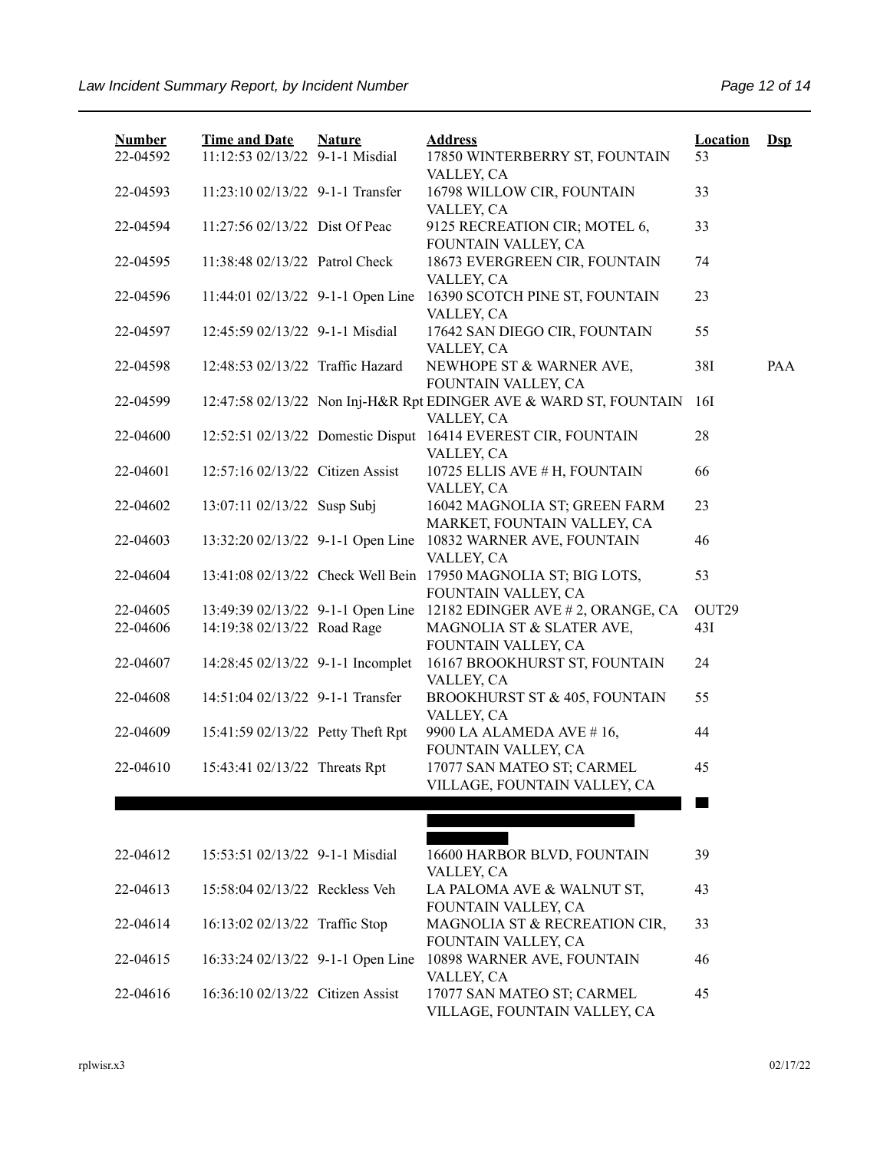| <b>Number</b><br>22-04592 | <b>Time and Date</b><br>11:12:53 02/13/22 9-1-1 Misdial | <b>Nature</b> | <b>Address</b><br>17850 WINTERBERRY ST, FOUNTAIN                                      | <b>Location</b><br>53 | $\mathbf{Dsp}$ |
|---------------------------|---------------------------------------------------------|---------------|---------------------------------------------------------------------------------------|-----------------------|----------------|
| 22-04593                  | 11:23:10 02/13/22 9-1-1 Transfer                        |               | VALLEY, CA<br>16798 WILLOW CIR, FOUNTAIN                                              | 33                    |                |
| 22-04594                  | 11:27:56 02/13/22 Dist Of Peac                          |               | VALLEY, CA<br>9125 RECREATION CIR; MOTEL 6,                                           | 33                    |                |
| 22-04595                  | 11:38:48 02/13/22 Patrol Check                          |               | FOUNTAIN VALLEY, CA<br>18673 EVERGREEN CIR, FOUNTAIN<br>VALLEY, CA                    | 74                    |                |
| 22-04596                  | 11:44:01 02/13/22 9-1-1 Open Line                       |               | 16390 SCOTCH PINE ST, FOUNTAIN<br>VALLEY, CA                                          | 23                    |                |
| 22-04597                  | 12:45:59 02/13/22 9-1-1 Misdial                         |               | 17642 SAN DIEGO CIR, FOUNTAIN<br>VALLEY, CA                                           | 55                    |                |
| 22-04598                  | 12:48:53 02/13/22 Traffic Hazard                        |               | NEWHOPE ST & WARNER AVE,<br>FOUNTAIN VALLEY, CA                                       | 38I                   | PAA            |
| 22-04599                  |                                                         |               | 12:47:58 02/13/22 Non Inj-H&R Rpt EDINGER AVE & WARD ST, FOUNTAIN<br>VALLEY, CA       | 16I                   |                |
| 22-04600                  |                                                         |               | 12:52:51 02/13/22 Domestic Disput 16414 EVEREST CIR, FOUNTAIN<br>VALLEY, CA           | 28                    |                |
| 22-04601                  | 12:57:16 02/13/22 Citizen Assist                        |               | 10725 ELLIS AVE # H, FOUNTAIN<br>VALLEY, CA                                           | 66                    |                |
| 22-04602                  | 13:07:11 02/13/22 Susp Subj                             |               | 16042 MAGNOLIA ST; GREEN FARM<br>MARKET, FOUNTAIN VALLEY, CA                          | 23                    |                |
| 22-04603                  |                                                         |               | 13:32:20 02/13/22 9-1-1 Open Line 10832 WARNER AVE, FOUNTAIN<br>VALLEY, CA            | 46                    |                |
| 22-04604                  |                                                         |               | 13:41:08 02/13/22 Check Well Bein 17950 MAGNOLIA ST; BIG LOTS,<br>FOUNTAIN VALLEY, CA | 53                    |                |
| 22-04605                  |                                                         |               | 13:49:39 02/13/22 9-1-1 Open Line 12182 EDINGER AVE # 2, ORANGE, CA                   | OUT29                 |                |
| 22-04606                  | 14:19:38 02/13/22 Road Rage                             |               | MAGNOLIA ST & SLATER AVE,<br>FOUNTAIN VALLEY, CA                                      | 43I                   |                |
| 22-04607                  | 14:28:45 02/13/22 9-1-1 Incomplet                       |               | 16167 BROOKHURST ST, FOUNTAIN<br>VALLEY, CA                                           | 24                    |                |
| 22-04608                  | 14:51:04 02/13/22 9-1-1 Transfer                        |               | <b>BROOKHURST ST &amp; 405, FOUNTAIN</b><br>VALLEY, CA                                | 55                    |                |
| 22-04609                  | 15:41:59 02/13/22 Petty Theft Rpt                       |               | 9900 LA ALAMEDA AVE #16,<br>FOUNTAIN VALLEY, CA                                       | 44                    |                |
| 22-04610                  | 15:43:41 02/13/22 Threats Rpt                           |               | 17077 SAN MATEO ST; CARMEL<br>VILLAGE, FOUNTAIN VALLEY, CA                            | 45                    |                |
|                           |                                                         |               |                                                                                       |                       |                |
| 22-04612                  | 15:53:51 02/13/22 9-1-1 Misdial                         |               | 16600 HARBOR BLVD, FOUNTAIN<br>VALLEY, CA                                             | 39                    |                |
| 22-04613                  | 15:58:04 02/13/22 Reckless Veh                          |               | LA PALOMA AVE & WALNUT ST,<br>FOUNTAIN VALLEY, CA                                     | 43                    |                |
| 22-04614                  | 16:13:02 02/13/22 Traffic Stop                          |               | MAGNOLIA ST & RECREATION CIR,<br>FOUNTAIN VALLEY, CA                                  | 33                    |                |
| 22-04615                  | 16:33:24 02/13/22 9-1-1 Open Line                       |               | 10898 WARNER AVE, FOUNTAIN<br>VALLEY, CA                                              | 46                    |                |
| 22-04616                  | 16:36:10 02/13/22 Citizen Assist                        |               | 17077 SAN MATEO ST; CARMEL                                                            | 45                    |                |

VILLAGE, FOUNTAIN VALLEY, CA

22-04616 16:36:10 02/13/22 Citizen Assist 17077 SAN MATEO ST; CARMEL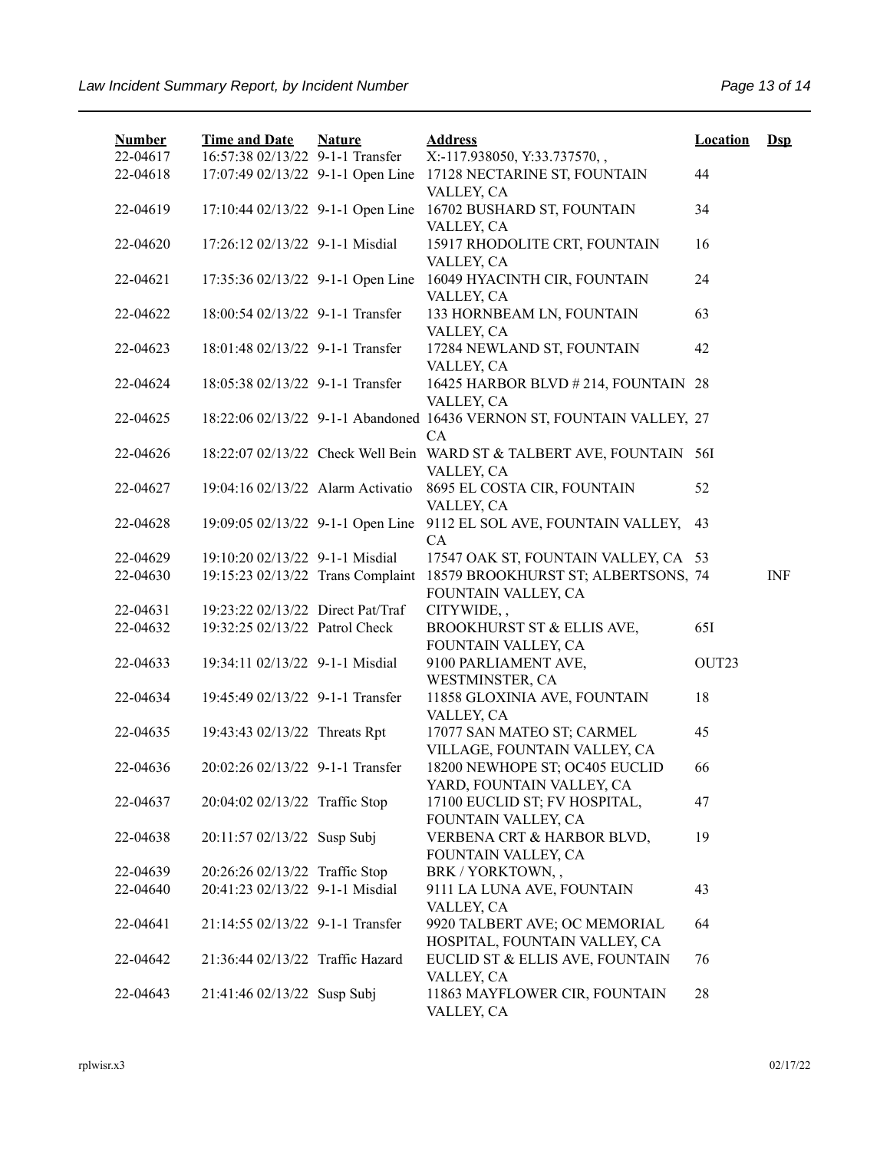| <b>Number</b><br>22-04617 | <b>Time and Date</b><br>16:57:38 02/13/22 9-1-1 Transfer | <b>Nature</b> | <b>Address</b><br>X:-117.938050, Y:33.737570,,                                      | <b>Location</b> | $\mathbf{Dsp}$ |
|---------------------------|----------------------------------------------------------|---------------|-------------------------------------------------------------------------------------|-----------------|----------------|
| 22-04618                  |                                                          |               | 17:07:49 02/13/22 9-1-1 Open Line 17128 NECTARINE ST, FOUNTAIN                      | 44              |                |
| 22-04619                  | 17:10:44 02/13/22 9-1-1 Open Line                        |               | VALLEY, CA<br>16702 BUSHARD ST, FOUNTAIN                                            | 34              |                |
| 22-04620                  | 17:26:12 02/13/22 9-1-1 Misdial                          |               | VALLEY, CA<br>15917 RHODOLITE CRT, FOUNTAIN                                         | 16              |                |
| 22-04621                  | 17:35:36 02/13/22 9-1-1 Open Line                        |               | VALLEY, CA<br>16049 HYACINTH CIR, FOUNTAIN                                          | 24              |                |
| 22-04622                  | 18:00:54 02/13/22 9-1-1 Transfer                         |               | VALLEY, CA<br>133 HORNBEAM LN, FOUNTAIN                                             | 63              |                |
| 22-04623                  | 18:01:48 02/13/22 9-1-1 Transfer                         |               | VALLEY, CA<br>17284 NEWLAND ST, FOUNTAIN                                            | 42              |                |
| 22-04624                  | 18:05:38 02/13/22 9-1-1 Transfer                         |               | VALLEY, CA<br>16425 HARBOR BLVD # 214, FOUNTAIN 28<br>VALLEY, CA                    |                 |                |
| 22-04625                  |                                                          |               | 18:22:06 02/13/22 9-1-1 Abandoned 16436 VERNON ST, FOUNTAIN VALLEY, 27<br><b>CA</b> |                 |                |
| 22-04626                  |                                                          |               | 18:22:07 02/13/22 Check Well Bein WARD ST & TALBERT AVE, FOUNTAIN 56I<br>VALLEY, CA |                 |                |
| 22-04627                  | 19:04:16 02/13/22 Alarm Activatio                        |               | 8695 EL COSTA CIR, FOUNTAIN<br>VALLEY, CA                                           | 52              |                |
| 22-04628                  | 19:09:05 02/13/22 9-1-1 Open Line                        |               | 9112 EL SOL AVE, FOUNTAIN VALLEY,<br>CA                                             | 43              |                |
| 22-04629                  | 19:10:20 02/13/22 9-1-1 Misdial                          |               | 17547 OAK ST, FOUNTAIN VALLEY, CA 53                                                |                 |                |
| 22-04630                  | 19:15:23 02/13/22 Trans Complaint                        |               | 18579 BROOKHURST ST; ALBERTSONS, 74                                                 |                 | <b>INF</b>     |
|                           |                                                          |               | FOUNTAIN VALLEY, CA                                                                 |                 |                |
| 22-04631                  | 19:23:22 02/13/22 Direct Pat/Traf                        |               | CITYWIDE,,                                                                          |                 |                |
| 22-04632                  | 19:32:25 02/13/22 Patrol Check                           |               | BROOKHURST ST & ELLIS AVE,<br>FOUNTAIN VALLEY, CA                                   | 651             |                |
| 22-04633                  | 19:34:11 02/13/22 9-1-1 Misdial                          |               | 9100 PARLIAMENT AVE,<br>WESTMINSTER, CA                                             | OUT23           |                |
| 22-04634                  | 19:45:49 02/13/22 9-1-1 Transfer                         |               | 11858 GLOXINIA AVE, FOUNTAIN<br>VALLEY, CA                                          | 18              |                |
| 22-04635                  | 19:43:43 02/13/22 Threats Rpt                            |               | 17077 SAN MATEO ST; CARMEL<br>VILLAGE, FOUNTAIN VALLEY, CA                          | 45              |                |
| 22-04636                  | 20:02:26 02/13/22 9-1-1 Transfer                         |               | 18200 NEWHOPE ST; OC405 EUCLID<br>YARD, FOUNTAIN VALLEY, CA                         | 66              |                |
| 22-04637                  | 20:04:02 02/13/22 Traffic Stop                           |               | 17100 EUCLID ST; FV HOSPITAL,<br>FOUNTAIN VALLEY, CA                                | 47              |                |
| 22-04638                  | 20:11:57 02/13/22 Susp Subj                              |               | VERBENA CRT & HARBOR BLVD,<br>FOUNTAIN VALLEY, CA                                   | 19              |                |
| 22-04639                  | 20:26:26 02/13/22 Traffic Stop                           |               | BRK / YORKTOWN,,                                                                    |                 |                |
| 22-04640                  | 20:41:23 02/13/22 9-1-1 Misdial                          |               | 9111 LA LUNA AVE, FOUNTAIN<br>VALLEY, CA                                            | 43              |                |
| 22-04641                  | 21:14:55 02/13/22 9-1-1 Transfer                         |               | 9920 TALBERT AVE; OC MEMORIAL<br>HOSPITAL, FOUNTAIN VALLEY, CA                      | 64              |                |
| 22-04642                  | 21:36:44 02/13/22 Traffic Hazard                         |               | EUCLID ST & ELLIS AVE, FOUNTAIN<br>VALLEY, CA                                       | 76              |                |
| 22-04643                  | 21:41:46 02/13/22 Susp Subj                              |               | 11863 MAYFLOWER CIR, FOUNTAIN<br>VALLEY, CA                                         | 28              |                |